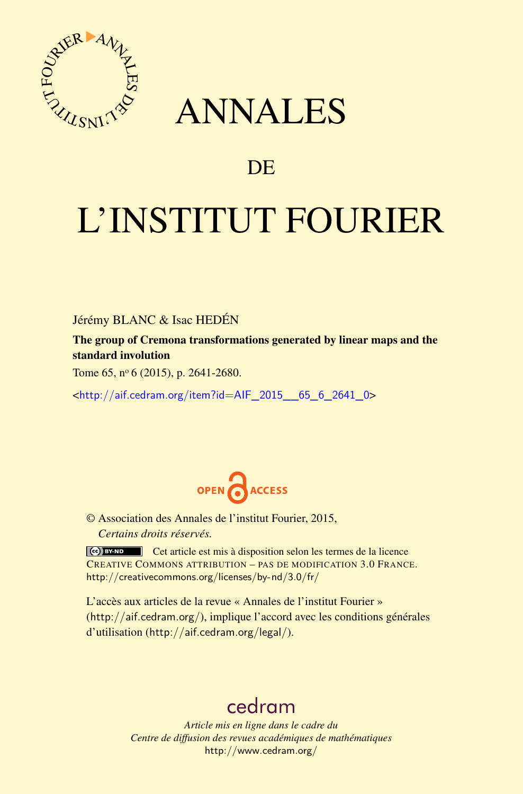

# ANNALES

# **DE**

# L'INSTITUT FOURIER

Jérémy BLANC & Isac HEDÉN

The group of Cremona transformations generated by linear maps and the standard involution

Tome 65, nº 6 (2015), p. 2641-2680.

<[http://aif.cedram.org/item?id=AIF\\_2015\\_\\_65\\_6\\_2641\\_0](http://aif.cedram.org/item?id=AIF_2015__65_6_2641_0)>



© Association des Annales de l'institut Fourier, 2015, *Certains droits réservés.*

Cet article est mis à disposition selon les termes de la licence CREATIVE COMMONS ATTRIBUTION – PAS DE MODIFICATION 3.0 FRANCE. <http://creativecommons.org/licenses/by-nd/3.0/fr/>

L'accès aux articles de la revue « Annales de l'institut Fourier » (<http://aif.cedram.org/>), implique l'accord avec les conditions générales d'utilisation (<http://aif.cedram.org/legal/>).

# [cedram](http://www.cedram.org/)

*Article mis en ligne dans le cadre du Centre de diffusion des revues académiques de mathématiques* <http://www.cedram.org/>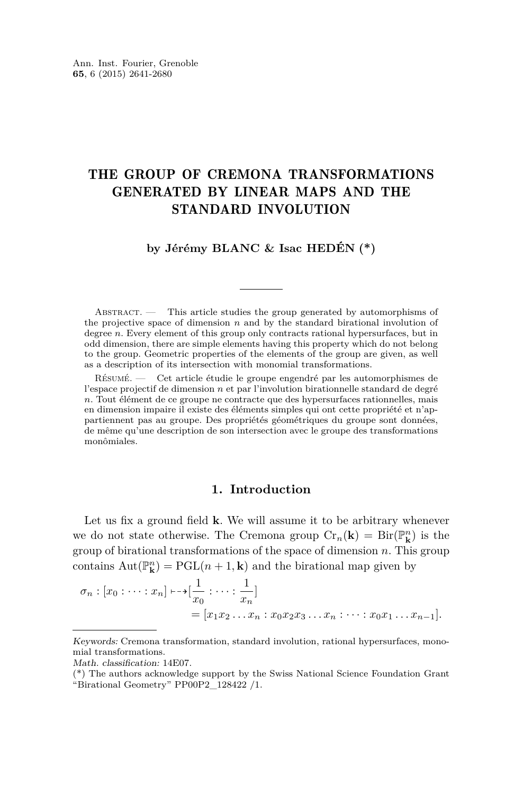# THE GROUP OF CREMONA TRANSFORMATIONS GENERATED BY LINEAR MAPS AND THE STANDARD INVOLUTION

## **by Jérémy BLANC & Isac HEDÉN (\*)**

ABSTRACT. — This article studies the group generated by automorphisms of the projective space of dimension *n* and by the standard birational involution of degree *n*. Every element of this group only contracts rational hypersurfaces, but in odd dimension, there are simple elements having this property which do not belong to the group. Geometric properties of the elements of the group are given, as well as a description of its intersection with monomial transformations.

Résumé. — Cet article étudie le groupe engendré par les automorphismes de l'espace projectif de dimension *n* et par l'involution birationnelle standard de degré *n*. Tout élément de ce groupe ne contracte que des hypersurfaces rationnelles, mais en dimension impaire il existe des éléments simples qui ont cette propriété et n'appartiennent pas au groupe. Des propriétés géométriques du groupe sont données, de même qu'une description de son intersection avec le groupe des transformations monômiales.

### **1. Introduction**

Let us fix a ground field **k**. We will assume it to be arbitrary whenever we do not state otherwise. The Cremona group  $Cr_n(\mathbf{k}) = Bir(\mathbb{P}_{\mathbf{k}}^n)$  is the group of birational transformations of the space of dimension *n*. This group contains  $Aut(\mathbb{P}_{\mathbf{k}}^n) = PGL(n+1, \mathbf{k})$  and the birational map given by

$$
\sigma_n : [x_0 : \dots : x_n] \longmapsto [\frac{1}{x_0} : \dots : \frac{1}{x_n}]
$$
  
=  $[x_1 x_2 \dots x_n : x_0 x_2 x_3 \dots x_n : \dots : x_0 x_1 \dots x_{n-1}].$ 

Keywords: Cremona transformation, standard involution, rational hypersurfaces, monomial transformations.

Math. classification: 14E07.

<sup>(\*)</sup> The authors acknowledge support by the Swiss National Science Foundation Grant "Birational Geometry" PP00P2\_128422 /1.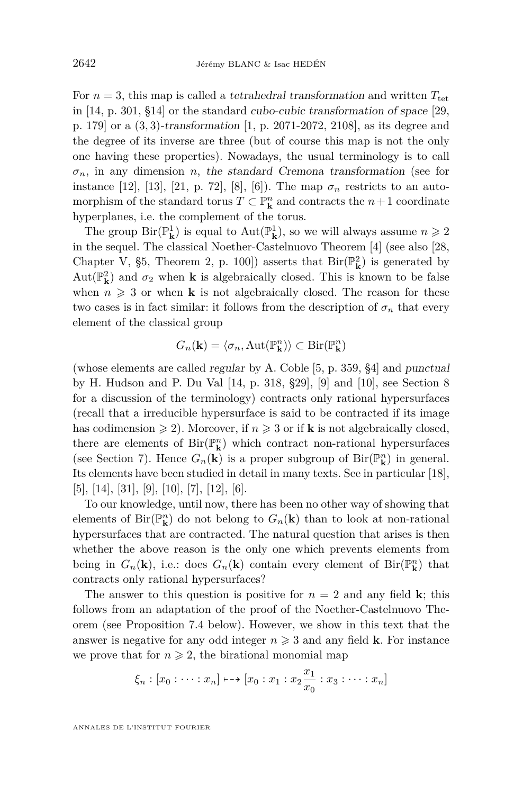For  $n = 3$ , this map is called a *tetrahedral transformation* and written  $T_{\text{tet}}$ in [\[14,](#page-39-0) p. 301, §14] or the standard cubo-cubic transformation of space [\[29,](#page-40-0) p. 179] or a (3*,* 3)-transformation [\[1,](#page-38-0) p. 2071-2072, 2108], as its degree and the degree of its inverse are three (but of course this map is not the only one having these properties). Nowadays, the usual terminology is to call  $\sigma_n$ , in any dimension *n*, the standard Cremona transformation (see for instance [\[12\]](#page-39-0), [\[13\]](#page-39-0), [\[21,](#page-39-0) p. 72], [\[8\]](#page-39-0), [\[6\]](#page-39-0)). The map  $\sigma_n$  restricts to an automorphism of the standard torus  $T \subset \mathbb{P}^n$  and contracts the  $n+1$  coordinate hyperplanes, i.e. the complement of the torus.

The group  ${\rm Bir}({\mathbb P}^1_{\bf k})$  is equal to  ${\rm Aut}({\mathbb P}^1_{\bf k}),$  so we will always assume  $n\geqslant 2$ in the sequel. The classical Noether-Castelnuovo Theorem [\[4\]](#page-38-0) (see also [\[28,](#page-40-0) Chapter V, §5, Theorem 2, p. 100]) asserts that  $\text{Bir}(\mathbb{P}_{\mathbf{k}}^2)$  is generated by  $\mathrm{Aut}(\mathbb{P}^2_{\mathbf{k}})$  and  $\sigma_2$  when  $\mathbf k$  is algebraically closed. This is known to be false when  $n \geq 3$  or when **k** is not algebraically closed. The reason for these two cases is in fact similar: it follows from the description of  $\sigma_n$  that every element of the classical group

$$
G_n(\mathbf{k}) = \langle \sigma_n, \mathrm{Aut}(\mathbb{P}^n_{\mathbf{k}}) \rangle \subset \mathrm{Bir}(\mathbb{P}^n_{\mathbf{k}})
$$

(whose elements are called regular by A. Coble [\[5,](#page-38-0) p. 359, §4] and punctual by H. Hudson and P. Du Val [\[14,](#page-39-0) p. 318, §29], [\[9\]](#page-39-0) and [\[10\]](#page-39-0), see Section [8](#page-35-0) for a discussion of the terminology) contracts only rational hypersurfaces (recall that a irreducible hypersurface is said to be contracted if its image has codimension  $\geq 2$ ). Moreover, if  $n \geq 3$  or if **k** is not algebraically closed, there are elements of  $\operatorname{Bir}(\mathbb{P}^n_k)$  which contract non-rational hypersurfaces (see Section [7\)](#page-31-0). Hence  $G_n(\mathbf{k})$  is a proper subgroup of  $\text{Bir}(\mathbb{P}^n_{\mathbf{k}})$  in general. Its elements have been studied in detail in many texts. See in particular [\[18\]](#page-39-0), [\[5\]](#page-38-0), [\[14\]](#page-39-0), [\[31\]](#page-40-0), [\[9\]](#page-39-0), [\[10\]](#page-39-0), [\[7\]](#page-39-0), [\[12\]](#page-39-0), [\[6\]](#page-39-0).

To our knowledge, until now, there has been no other way of showing that elements of  $\text{Bir}(\mathbb{P}^n_{\mathbf{k}})$  do not belong to  $G_n(\mathbf{k})$  than to look at non-rational hypersurfaces that are contracted. The natural question that arises is then whether the above reason is the only one which prevents elements from being in  $G_n(\mathbf{k})$ , i.e.: does  $G_n(\mathbf{k})$  contain every element of  $\text{Bir}(\mathbb{P}_{\mathbf{k}}^n)$  that contracts only rational hypersurfaces?

The answer to this question is positive for  $n = 2$  and any field **k**; this follows from an adaptation of the proof of the Noether-Castelnuovo Theorem (see Proposition [7.4](#page-34-0) below). However, we show in this text that the answer is negative for any odd integer  $n \geq 3$  and any field **k**. For instance we prove that for  $n \geq 2$ , the birational monomial map

$$
\xi_n : [x_0 : \cdots : x_n] \mapsto [x_0 : x_1 : x_2 \frac{x_1}{x_0} : x_3 : \cdots : x_n]
$$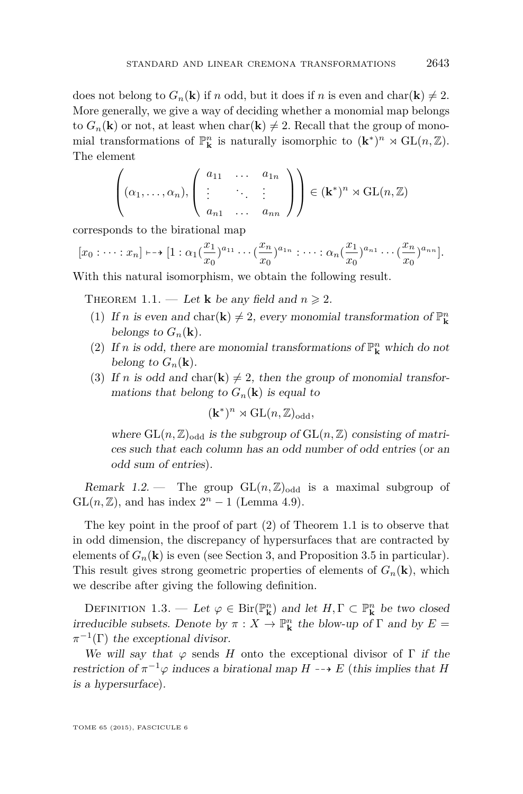<span id="page-3-0"></span>does not belong to  $G_n(\mathbf{k})$  if *n* odd, but it does if *n* is even and char( $\mathbf{k}$ )  $\neq$  2. More generally, we give a way of deciding whether a monomial map belongs to  $G_n(\mathbf{k})$  or not, at least when  $char(\mathbf{k}) \neq 2$ . Recall that the group of monomial transformations of  $\mathbb{P}^n_{\mathbf{k}}$  is naturally isomorphic to  $(\mathbf{k}^*)^n \rtimes GL(n, \mathbb{Z})$ . The element

$$
\left((\alpha_1,\ldots,\alpha_n),\left(\begin{array}{ccc}a_{11}&\ldots&a_{1n}\\ \vdots&\ddots&\vdots\\ a_{n1}&\ldots&a_{nn}\end{array}\right)\right)\in (\mathbf{k}^*)^n \rtimes \mathrm{GL}(n,\mathbb{Z})
$$

corresponds to the birational map

$$
[x_0:\cdots:x_n]\mapsto [1:\alpha_1(\frac{x_1}{x_0})^{a_{11}}\cdots(\frac{x_n}{x_0})^{a_{1n}}:\cdots:\alpha_n(\frac{x_1}{x_0})^{a_{n1}}\cdots(\frac{x_n}{x_0})^{a_{nn}}].
$$

With this natural isomorphism, we obtain the following result.

THEOREM 1.1. — Let **k** be any field and  $n \ge 2$ .

- (1) If *n* is even and char(**k**)  $\neq$  2, every monomial transformation of  $\mathbb{P}^n$ **k** belongs to  $G_n(\mathbf{k})$ .
- (2) If *n* is odd, there are monomial transformations of  $\mathbb{P}^n_{\mathbf{k}}$  which do not belong to  $G_n(\mathbf{k})$ .
- (3) If *n* is odd and char( $\bf{k}$ )  $\neq$  2, then the group of monomial transformations that belong to  $G_n(\mathbf{k})$  is equal to

$$
(\mathbf{k}^*)^n \rtimes \mathrm{GL}(n,\mathbb{Z})_{\mathrm{odd}},
$$

where  $GL(n, \mathbb{Z})_{odd}$  is the subgroup of  $GL(n, \mathbb{Z})$  consisting of matrices such that each column has an odd number of odd entries (or an odd sum of entries).

Remark 1.2. — The group  $GL(n, \mathbb{Z})_{odd}$  is a maximal subgroup of  $GL(n, \mathbb{Z})$ , and has index  $2^n - 1$  (Lemma [4.9\)](#page-20-0).

The key point in the proof of part (2) of Theorem 1.1 is to observe that in odd dimension, the discrepancy of hypersurfaces that are contracted by elements of  $G_n(\mathbf{k})$  is even (see Section [3,](#page-10-0) and Proposition [3.5](#page-12-0) in particular). This result gives strong geometric properties of elements of  $G_n(\mathbf{k})$ , which we describe after giving the following definition.

DEFINITION 1.3. — Let  $\varphi \in \text{Bir}(\mathbb{P}^n_{\mathbf{k}})$  and let  $H, \Gamma \subset \mathbb{P}^n_{\mathbf{k}}$  be two closed irreducible subsets. Denote by  $\pi : X \to \mathbb{P}^n_{\mathbf{k}}$  the blow-up of  $\Gamma$  and by  $E =$  $\pi^{-1}(\Gamma)$  the exceptional divisor.

We will say that  $\varphi$  sends *H* onto the exceptional divisor of  $\Gamma$  if the restriction of  $\pi^{-1}\varphi$  induces a birational map  $H \dashrightarrow E$  (this implies that *H* is a hypersurface).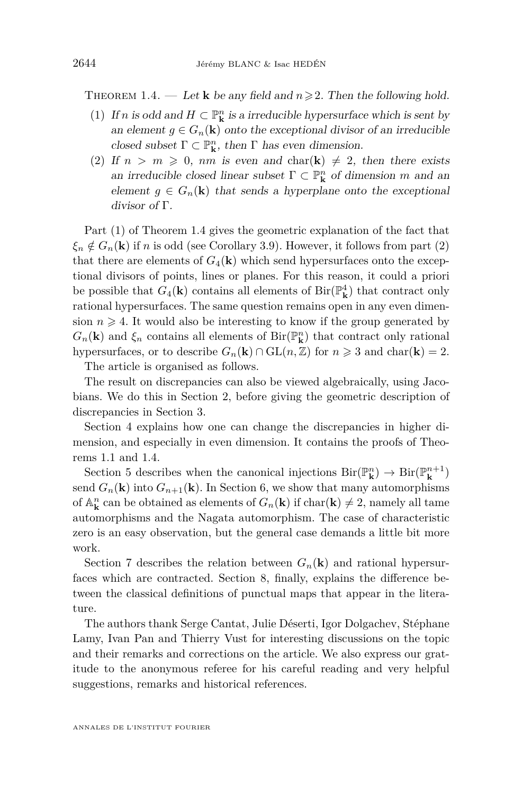<span id="page-4-0"></span>THEOREM 1.4. — Let **k** be any field and  $n \ge 2$ . Then the following hold.

- (1) If *n* is odd and  $H \subset \mathbb{P}^n$  is a irreducible hypersurface which is sent by an element  $g \in G_n(\mathbf{k})$  onto the exceptional divisor of an irreducible closed subset  $\Gamma \subset \mathbb{P}^n_{\mathbf{k}}$ , then  $\Gamma$  has even dimension.
- (2) If  $n > m \geq 0$ , nm is even and char(k)  $\neq 2$ , then there exists an irreducible closed linear subset  $\Gamma \subset \mathbb{P}^n_{\mathbf{k}}$  of dimension *m* and an element  $g \in G_n(\mathbf{k})$  that sends a hyperplane onto the exceptional divisor of Γ.

Part (1) of Theorem 1.4 gives the geometric explanation of the fact that  $\xi_n \notin G_n(\mathbf{k})$  if *n* is odd (see Corollary [3.9\)](#page-15-0). However, it follows from part (2) that there are elements of  $G_4(\mathbf{k})$  which send hypersurfaces onto the exceptional divisors of points, lines or planes. For this reason, it could a priori be possible that  $G_4(\mathbf{k})$  contains all elements of  $\text{Bir}(\mathbb{P}^4_{\mathbf{k}})$  that contract only rational hypersurfaces. The same question remains open in any even dimension  $n \geq 4$ . It would also be interesting to know if the group generated by  $G_n(\mathbf{k})$  and  $\xi_n$  contains all elements of Bir( $\mathbb{P}^n_{\mathbf{k}}$ ) that contract only rational hypersurfaces, or to describe  $G_n(\mathbf{k}) \cap \mathrm{GL}(n, \mathbb{Z})$  for  $n \geq 3$  and char( $\mathbf{k}$ ) = 2.

The article is organised as follows.

The result on discrepancies can also be viewed algebraically, using Jacobians. We do this in Section [2,](#page-5-0) before giving the geometric description of discrepancies in Section [3.](#page-10-0)

Section [4](#page-16-0) explains how one can change the discrepancies in higher dimension, and especially in even dimension. It contains the proofs of Theorems [1.1](#page-3-0) and 1.4.

Section [5](#page-25-0) describes when the canonical injections  $\text{Bir}(\mathbb{P}^n_{\mathbf{k}}) \to \text{Bir}(\mathbb{P}^{n+1}_{\mathbf{k}})$ send  $G_n(\mathbf{k})$  into  $G_{n+1}(\mathbf{k})$ . In Section [6,](#page-26-0) we show that many automorphisms of  $\mathbb{A}_{\mathbf{k}}^n$  can be obtained as elements of  $G_n(\mathbf{k})$  if  $char(\mathbf{k}) \neq 2$ , namely all tame automorphisms and the Nagata automorphism. The case of characteristic zero is an easy observation, but the general case demands a little bit more work.

Section [7](#page-31-0) describes the relation between  $G_n(\mathbf{k})$  and rational hypersurfaces which are contracted. Section [8,](#page-35-0) finally, explains the difference between the classical definitions of punctual maps that appear in the literature.

The authors thank Serge Cantat, Julie Déserti, Igor Dolgachev, Stéphane Lamy, Ivan Pan and Thierry Vust for interesting discussions on the topic and their remarks and corrections on the article. We also express our gratitude to the anonymous referee for his careful reading and very helpful suggestions, remarks and historical references.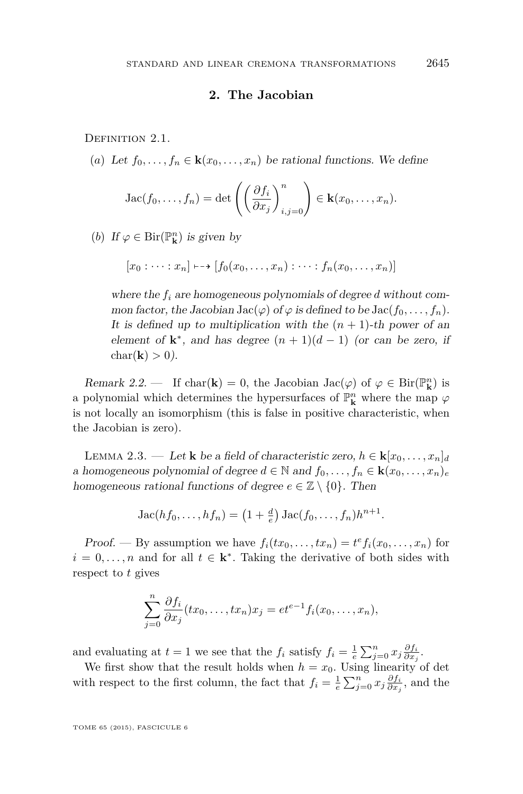### **2. The Jacobian**

<span id="page-5-0"></span>DEFINITION 2.1.

(*a*) Let  $f_0, \ldots, f_n \in \mathbf{k}(x_0, \ldots, x_n)$  be rational functions. We define

Jac
$$
(f_0,..., f_n)
$$
 = det $\left(\left(\frac{\partial f_i}{\partial x_j}\right)_{i,j=0}^n\right) \in \mathbf{k}(x_0,..., x_n)$ .

(*b*) If  $\varphi \in \text{Bir}(\mathbb{P}^n_{\mathbf{k}})$  is given by

$$
[x_0:\cdots:x_n]\mapsto [f_0(x_0,\ldots,x_n):\cdots:f_n(x_0,\ldots,x_n)]
$$

where the *f<sup>i</sup>* are homogeneous polynomials of degree *d* without common factor, the Jacobian Jac $(\varphi)$  of  $\varphi$  is defined to be Jac $(f_0, \ldots, f_n)$ . It is defined up to multiplication with the  $(n + 1)$ -th power of an element of  $\mathbf{k}^*$ , and has degree  $(n+1)(d-1)$  (or can be zero, if char( $\mathbf{k}$ ) > 0).

Remark 2.2. — If char(**k**) = 0, the Jacobian Jac( $\varphi$ ) of  $\varphi \in \text{Bir}(\mathbb{P}^n_k)$  is a polynomial which determines the hypersurfaces of  $\mathbb{P}^n_{\bf k}$  where the map  $\varphi$ is not locally an isomorphism (this is false in positive characteristic, when the Jacobian is zero).

LEMMA 2.3. — Let **k** be a field of characteristic zero,  $h \in \mathbf{k}[x_0, \ldots, x_n]_d$ a homogeneous polynomial of degree  $d \in \mathbb{N}$  and  $f_0, \ldots, f_n \in \mathbf{k}(x_0, \ldots, x_n)_e$ homogeneous rational functions of degree  $e \in \mathbb{Z} \setminus \{0\}$ . Then

$$
Jac(hf_0,\ldots,hf_n)=(1+\frac{d}{e}) Jac(f_0,\ldots,f_n)h^{n+1}.
$$

Proof. — By assumption we have  $f_i(tx_0, \ldots, tx_n) = t^e f_i(x_0, \ldots, x_n)$  for  $i = 0, \ldots, n$  and for all  $t \in \mathbf{k}^*$ . Taking the derivative of both sides with respect to *t* gives

$$
\sum_{j=0}^n \frac{\partial f_i}{\partial x_j}(tx_0,\ldots,tx_n)x_j = et^{e-1}f_i(x_0,\ldots,x_n),
$$

and evaluating at  $t = 1$  we see that the  $f_i$  satisfy  $f_i = \frac{1}{e} \sum_{j=0}^n x_j \frac{\partial f_i}{\partial x_j}$ .

We first show that the result holds when  $h = x_0$ . Using linearity of det with respect to the first column, the fact that  $f_i = \frac{1}{e} \sum_{j=0}^n x_j \frac{\partial f_i}{\partial x_j}$ , and the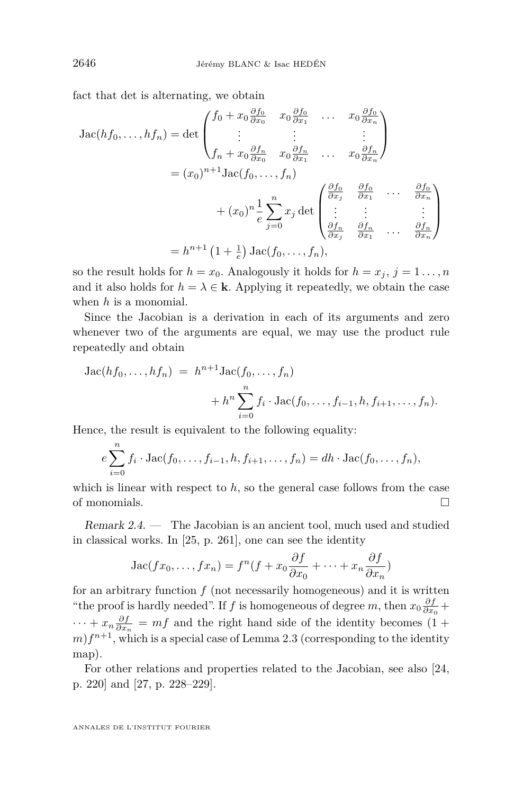fact that det is alternating, we obtain

$$
\begin{split}\n\text{Jac}(hf_0, \dots, hf_n) &= \det \begin{pmatrix} f_0 + x_0 \frac{\partial f_0}{\partial x_0} & x_0 \frac{\partial f_0}{\partial x_1} & \dots & x_0 \frac{\partial f_0}{\partial x_n} \\ \vdots & \vdots & \vdots & \vdots \\ f_n + x_0 \frac{\partial f_n}{\partial x_0} & x_0 \frac{\partial f_n}{\partial x_1} & \dots & x_0 \frac{\partial f_n}{\partial x_n} \end{pmatrix} \\
&= (x_0)^{n+1} \text{Jac}(f_0, \dots, f_n) \\
&+ (x_0)^n \frac{1}{e} \sum_{j=0}^n x_j \det \begin{pmatrix} \frac{\partial f_0}{\partial x_j} & \frac{\partial f_0}{\partial x_1} & \dots & \frac{\partial f_0}{\partial x_n} \\ \vdots & \vdots & \vdots & \vdots \\ \frac{\partial f_n}{\partial x_j} & \frac{\partial f_n}{\partial x_1} & \dots & \frac{\partial f_n}{\partial x_n} \end{pmatrix} \\
&= h^{n+1} \left( 1 + \frac{1}{e} \right) \text{Jac}(f_0, \dots, f_n),\n\end{split}
$$

so the result holds for  $h = x_0$ . Analogously it holds for  $h = x_j$ ,  $j = 1 \ldots, n$ and it also holds for  $h = \lambda \in \mathbf{k}$ . Applying it repeatedly, we obtain the case when *h* is a monomial.

Since the Jacobian is a derivation in each of its arguments and zero whenever two of the arguments are equal, we may use the product rule repeatedly and obtain

Jac(hf<sub>0</sub>,...,h f<sub>n</sub>) = 
$$
h^{n+1}
$$
Jac(f<sub>0</sub>,..., f<sub>n</sub>)  
+  $h^{n} \sum_{i=0}^{n} f_i \cdot \text{Jac}(f_0,..., f_{i-1}, h, f_{i+1},..., f_n).$ 

Hence, the result is equivalent to the following equality:

$$
e\sum_{i=0}^{n} f_i \cdot \text{Jac}(f_0, \ldots, f_{i-1}, h, f_{i+1}, \ldots, f_n) = dh \cdot \text{Jac}(f_0, \ldots, f_n),
$$

which is linear with respect to h, so the general case follows from the case of monomials.

Remark 2.4. — The Jacobian is an ancient tool, much used and studied in classical works. In [\[25,](#page-39-0) p. 261], one can see the identity

Jac
$$
(fx_0,...,fx_n) = f^n(f + x_0 \frac{\partial f}{\partial x_0} + \dots + x_n \frac{\partial f}{\partial x_n})
$$

for an arbitrary function *f* (not necessarily homogeneous) and it is written "the proof is hardly needed". If *f* is homogeneous of degree *m*, then  $x_0 \frac{\partial f}{\partial x_0} +$  $\cdots + x_n \frac{\partial f}{\partial x_n} = mf$  and the right hand side of the identity becomes (1 +  $m$ ) $f^{n+1}$ , which is a special case of Lemma [2.3](#page-5-0) (corresponding to the identity map).

For other relations and properties related to the Jacobian, see also [\[24,](#page-39-0) p. 220] and [\[27,](#page-39-0) p. 228–229].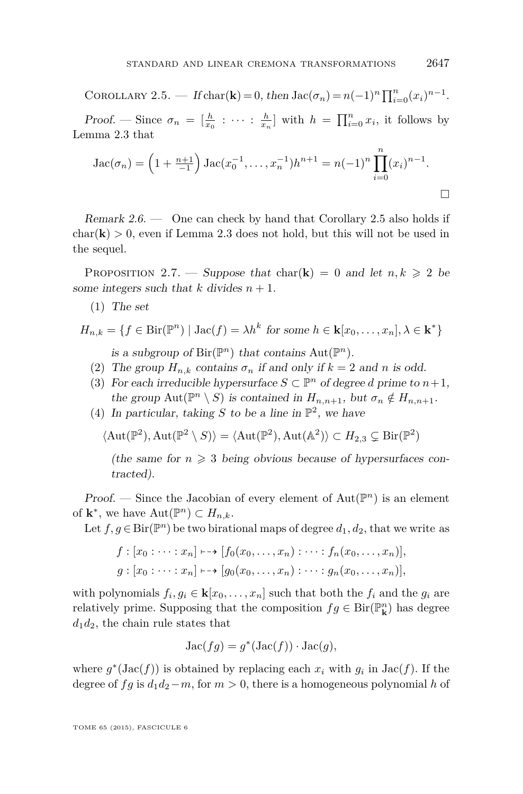<span id="page-7-0"></span>COROLLARY 2.5. — If  $char(\mathbf{k}) = 0$ , then  $Jac(\sigma_n) = n(-1)^n \prod_{i=0}^n (x_i)^{n-1}$ . Proof. — Since  $\sigma_n = \left[\frac{h}{x_0} : \cdots : \frac{h}{x_n}\right]$  with  $h = \prod_{i=0}^n x_i$ , it follows by Lemma [2.3](#page-5-0) that

$$
Jac(\sigma_n) = \left(1 + \frac{n+1}{-1}\right) Jac(x_0^{-1}, \dots, x_n^{-1})h^{n+1} = n(-1)^n \prod_{i=0}^n (x_i)^{n-1}.
$$

Remark  $2.6.$  — One can check by hand that Corollary 2.5 also holds if  $char(\mathbf{k}) > 0$ , even if Lemma [2.3](#page-5-0) does not hold, but this will not be used in the sequel.

PROPOSITION 2.7. — Suppose that char(**k**) = 0 and let  $n, k \geq 2$  be some integers such that *k* divides  $n + 1$ .

(1) The set

$$
H_{n,k} = \{ f \in \text{Bir}(\mathbb{P}^n) \mid \text{Jac}(f) = \lambda h^k \text{ for some } h \in \mathbf{k}[x_0, \dots, x_n], \lambda \in \mathbf{k}^* \}
$$
  
is a subgroup of  $\text{Bir}(\mathbb{P}^n)$  that contains  $\text{Aut}(\mathbb{P}^n)$ .

- (2) The group  $H_{n,k}$  contains  $\sigma_n$  if and only if  $k = 2$  and *n* is odd.
- (3) For each irreducible hypersurface  $S \subset \mathbb{P}^n$  of degree *d* prime to  $n+1$ , the group  $\text{Aut}(\mathbb{P}^n \setminus S)$  is contained in  $H_{n,n+1}$ , but  $\sigma_n \notin H_{n,n+1}$ .
- (4) In particular, taking *S* to be a line in  $\mathbb{P}^2$ , we have

$$
\langle \text{Aut}(\mathbb{P}^2), \text{Aut}(\mathbb{P}^2 \setminus S) \rangle = \langle \text{Aut}(\mathbb{P}^2), \text{Aut}(\mathbb{A}^2) \rangle \subset H_{2,3} \subsetneq \text{Bir}(\mathbb{P}^2)
$$

(the same for  $n \geq 3$  being obvious because of hypersurfaces contracted).

Proof. — Since the Jacobian of every element of  $Aut(\mathbb{P}^n)$  is an element of  $\mathbf{k}^*$ , we have  $\mathrm{Aut}(\mathbb{P}^n) \subset H_{n,k}$ .

Let  $f, g \in Bir(\mathbb{P}^n)$  be two birational maps of degree  $d_1, d_2$ , that we write as

$$
f : [x_0 : \cdots : x_n] \longmapsto [f_0(x_0, \ldots, x_n) : \cdots : f_n(x_0, \ldots, x_n)],
$$
  

$$
g : [x_0 : \cdots : x_n] \longmapsto [g_0(x_0, \ldots, x_n) : \cdots : g_n(x_0, \ldots, x_n)],
$$

with polynomials  $f_i, g_i \in \mathbf{k}[x_0, \ldots, x_n]$  such that both the  $f_i$  and the  $g_i$  are relatively prime. Supposing that the composition  $fg \in Bir(\mathbb{P}_{\mathbf{k}}^n)$  has degree  $d_1d_2$ , the chain rule states that

$$
Jac(fg) = g^*(Jac(f)) \cdot Jac(g),
$$

where  $g^*(Jac(f))$  is obtained by replacing each  $x_i$  with  $g_i$  in  $Jac(f)$ . If the degree of *fg* is  $d_1d_2 - m$ , for  $m > 0$ , there is a homogeneous polynomial *h* of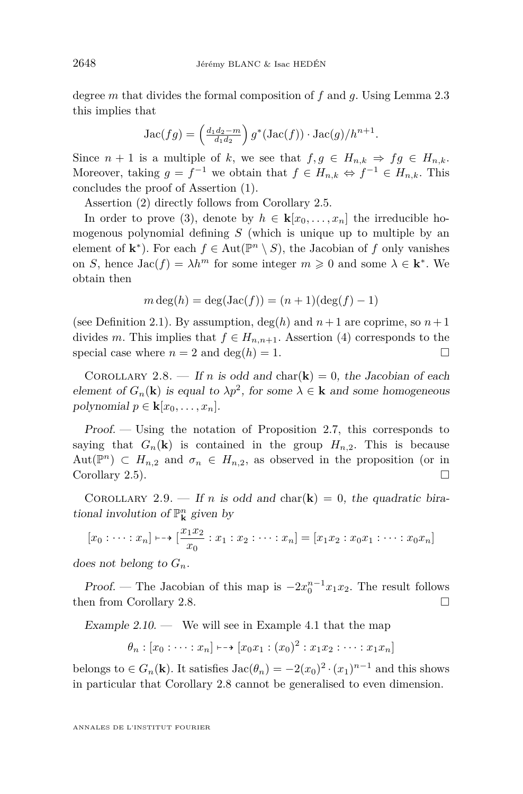<span id="page-8-0"></span>degree *m* that divides the formal composition of *f* and *g*. Using Lemma [2.3](#page-5-0) this implies that

$$
Jac(fg) = \left(\frac{d_1d_2 - m}{d_1d_2}\right)g^*(Jac(f)) \cdot Jac(g)/h^{n+1}.
$$

Since  $n + 1$  is a multiple of k, we see that  $f, g \in H_{n,k} \Rightarrow fg \in H_{n,k}$ . Moreover, taking  $g = f^{-1}$  we obtain that  $f \in H_{n,k} \Leftrightarrow f^{-1} \in H_{n,k}$ . This concludes the proof of Assertion (1).

Assertion (2) directly follows from Corollary [2.5.](#page-7-0)

In order to prove (3), denote by  $h \in \mathbf{k}[x_0, \ldots, x_n]$  the irreducible homogenous polynomial defining *S* (which is unique up to multiple by an element of  $\mathbf{k}^*$ ). For each  $f \in \text{Aut}(\mathbb{P}^n \setminus S)$ , the Jacobian of *f* only vanishes on *S*, hence  $\text{Jac}(f) = \lambda h^m$  for some integer  $m \geq 0$  and some  $\lambda \in \mathbf{k}^*$ . We obtain then

$$
m \deg(h) = \deg(\operatorname{Jac}(f)) = (n+1)(\deg(f) - 1)
$$

(see Definition [2.1\)](#page-5-0). By assumption,  $deg(h)$  and  $n+1$  are coprime, so  $n+1$ divides *m*. This implies that  $f \in H_{n,n+1}$ . Assertion (4) corresponds to the special case where  $n = 2$  and deg( $h$ ) = 1.

COROLLARY 2.8. — If *n* is odd and char( $\bf{k}$ ) = 0, the Jacobian of each element of  $G_n(\mathbf{k})$  is equal to  $\lambda p^2$ , for some  $\lambda \in \mathbf{k}$  and some homogeneous polynomial  $p \in \mathbf{k}[x_0, \ldots, x_n]$ .

Proof. — Using the notation of Proposition [2.7,](#page-7-0) this corresponds to saying that  $G_n(\mathbf{k})$  is contained in the group  $H_{n,2}$ . This is because Aut( $\mathbb{P}^n$ )  $\subset H_{n,2}$  and  $\sigma_n \in H_{n,2}$ , as observed in the proposition (or in Corollary [2.5\)](#page-7-0).

COROLLARY 2.9. — If *n* is odd and char( $\bf{k}$ ) = 0, the quadratic birational involution of  $\mathbb{P}^n$ **k** given by

$$
[x_0 : \dots : x_n] \longmapsto [\frac{x_1 x_2}{x_0} : x_1 : x_2 : \dots : x_n] = [x_1 x_2 : x_0 x_1 : \dots : x_0 x_n]
$$

does not belong to *Gn*.

Proof. — The Jacobian of this map is  $-2x_0^{n-1}x_1x_2$ . The result follows then from Corollary 2.8.

Example  $2.10$ . — We will see in Example [4.1](#page-16-0) that the map

$$
\theta_n : [x_0 : \cdots : x_n] \mapsto [x_0x_1 : (x_0)^2 : x_1x_2 : \cdots : x_1x_n]
$$

belongs to  $\in G_n(\mathbf{k})$ . It satisfies  $\text{Jac}(\theta_n) = -2(x_0)^2 \cdot (x_1)^{n-1}$  and this shows in particular that Corollary 2.8 cannot be generalised to even dimension.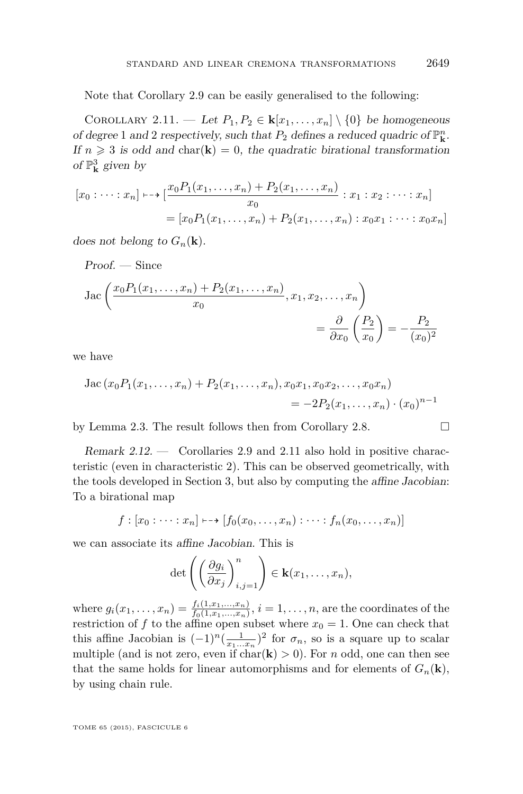Note that Corollary [2.9](#page-8-0) can be easily generalised to the following:

COROLLARY 2.11. — Let  $P_1, P_2 \in \mathbf{k}[x_1, \ldots, x_n] \setminus \{0\}$  be homogeneous of degree 1 and 2 respectively, such that  $P_2$  defines a reduced quadric of  $\mathbb{P}^n_{\mathbf{k}}$ . If  $n \geq 3$  is odd and char(**k**) = 0, the quadratic birational transformation of  $\mathbb{P}^3_{\mathbf{k}}$  given by

$$
[x_0 : \dots : x_n] \longmapsto [\frac{x_0 P_1(x_1, \dots, x_n) + P_2(x_1, \dots, x_n)}{x_0} : x_1 : x_2 : \dots : x_n]
$$
  
= 
$$
[x_0 P_1(x_1, \dots, x_n) + P_2(x_1, \dots, x_n) : x_0 x_1 : \dots : x_0 x_n]
$$

does not belong to  $G_n(\mathbf{k})$ .

Proof. – Since  
\n
$$
Jac \left( \frac{x_0 P_1(x_1, ..., x_n) + P_2(x_1, ..., x_n)}{x_0}, x_1, x_2, ..., x_n \right)
$$
\n
$$
= \frac{\partial}{\partial x_0} \left( \frac{P_2}{x_0} \right) = -\frac{P_2}{(x_0)^2}
$$

we have

Jac 
$$
(x_0P_1(x_1,...,x_n)+P_2(x_1,...,x_n),x_0x_1,x_0x_2,...,x_0x_n)
$$
  
=  $-2P_2(x_1,...,x_n)\cdot (x_0)^{n-1}$ 

by Lemma [2.3.](#page-5-0) The result follows then from Corollary [2.8.](#page-8-0)

Remark 2.12. — Corollaries [2.9](#page-8-0) and 2.11 also hold in positive characteristic (even in characteristic 2). This can be observed geometrically, with the tools developed in Section [3,](#page-10-0) but also by computing the affine Jacobian: To a birational map

$$
f : [x_0 : \dots : x_n] \mapsto [f_0(x_0, \dots, x_n) : \dots : f_n(x_0, \dots, x_n)]
$$

we can associate its affine Jacobian. This is

$$
\det\left(\left(\frac{\partial g_i}{\partial x_j}\right)_{i,j=1}^n\right)\in\mathbf{k}(x_1,\ldots,x_n),
$$

where  $g_i(x_1, ..., x_n) = \frac{f_i(1, x_1, ..., x_n)}{f_0(1, x_1, ..., x_n)}$ ,  $i = 1, ..., n$ , are the coordinates of the restriction of  $f$  to the affine open subset where  $x_0 = 1$ . One can check that this affine Jacobian is  $(-1)^n(\frac{1}{x_1...x_n})^2$  for  $\sigma_n$ , so is a square up to scalar multiple (and is not zero, even if  $char(\mathbf{k}) > 0$ ). For *n* odd, one can then see that the same holds for linear automorphisms and for elements of  $G_n(\mathbf{k})$ , by using chain rule.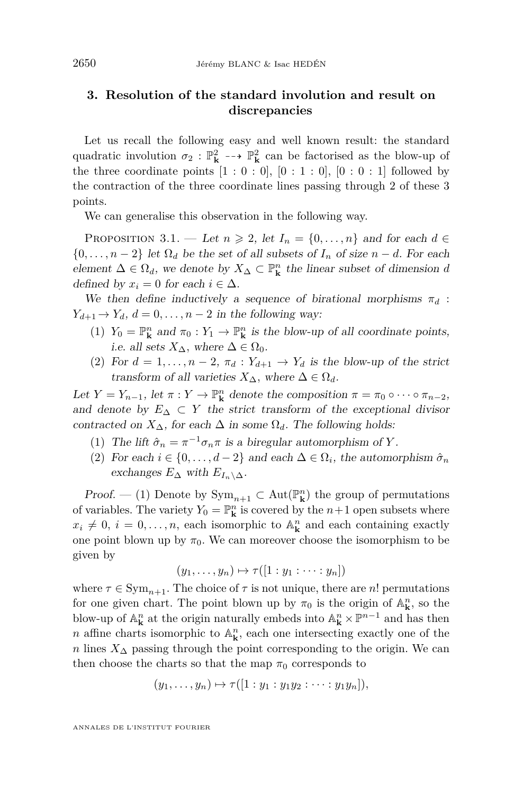## <span id="page-10-0"></span>**3. Resolution of the standard involution and result on discrepancies**

Let us recall the following easy and well known result: the standard quadratic involution  $\sigma_2$ :  $\mathbb{P}_{\mathbf{k}}^2$  -- $\rightarrow$   $\mathbb{P}_{\mathbf{k}}^2$  can be factorised as the blow-up of the three coordinate points  $[1:0:0]$ ,  $[0:1:0]$ ,  $[0:0:1]$  followed by the contraction of the three coordinate lines passing through 2 of these 3 points.

We can generalise this observation in the following way.

PROPOSITION 3.1. — Let  $n \geq 2$ , let  $I_n = \{0, \ldots, n\}$  and for each  $d \in$  $\{0, \ldots, n-2\}$  let  $\Omega_d$  be the set of all subsets of  $I_n$  of size  $n-d$ . For each element  $\Delta \in \Omega_d$ , we denote by  $X_{\Delta} \subset \mathbb{P}^n_{\mathbf{k}}$  the linear subset of dimension *d* defined by  $x_i = 0$  for each  $i \in \Delta$ .

We then define inductively a sequence of birational morphisms  $\pi_d$ :  $Y_{d+1} \rightarrow Y_d$ ,  $d = 0, \ldots, n-2$  in the following way:

- (1)  $Y_0 = \mathbb{P}^n_{\mathbf{k}}$  and  $\pi_0 : Y_1 \to \mathbb{P}^n_{\mathbf{k}}$  is the blow-up of all coordinate points, i.e. all sets  $X_{\Delta}$ , where  $\Delta \in \Omega_0$ .
- (2) For  $d = 1, \ldots, n-2, \pi_d : Y_{d+1} \to Y_d$  is the blow-up of the strict transform of all varieties  $X_{\Delta}$ , where  $\Delta \in \Omega_d$ .

Let  $Y = Y_{n-1}$ , let  $\pi : Y \to \mathbb{P}^n$  denote the composition  $\pi = \pi_0 \circ \cdots \circ \pi_{n-2}$ , and denote by  $E_{\Delta} \subset Y$  the strict transform of the exceptional divisor contracted on  $X_\Delta$ , for each  $\Delta$  in some  $\Omega_d$ . The following holds:

- (1) The lift  $\hat{\sigma}_n = \pi^{-1} \sigma_n \pi$  is a biregular automorphism of *Y*.
- (2) For each  $i \in \{0, \ldots, d-2\}$  and each  $\Delta \in \Omega_i$ , the automorphism  $\hat{\sigma}_n$ exchanges  $E_{\Delta}$  with  $E_{I_n \setminus \Delta}$ .

*Proof.* — (1) Denote by  $Sym_{n+1} \subset Aut(\mathbb{P}_{\mathbf{k}}^n)$  the group of permutations of variables. The variety  $Y_0 = \mathbb{P}^n_{\mathbf{k}}$  is covered by the  $n+1$  open subsets where  $x_i \neq 0, i = 0, \ldots, n$ , each isomorphic to  $\mathbb{A}^n_{\mathbf{k}}$  and each containing exactly one point blown up by  $\pi_0$ . We can moreover choose the isomorphism to be given by

$$
(y_1,\ldots,y_n)\mapsto\tau([1:y_1:\cdots:y_n])
$$

where  $\tau \in \text{Sym}_{n+1}$ . The choice of  $\tau$  is not unique, there are *n*! permutations for one given chart. The point blown up by  $\pi_0$  is the origin of  $\mathbb{A}^n_{\mathbf{k}}$ , so the blow-up of  $\mathbb{A}^n_{\mathbf{k}}$  at the origin naturally embeds into  $\mathbb{A}^n_{\mathbf{k}} \times \mathbb{P}^{n-1}$  and has then *n* affine charts isomorphic to  $\mathbb{A}^n_{\mathbf{k}}$ , each one intersecting exactly one of the *n* lines  $X_\Delta$  passing through the point corresponding to the origin. We can then choose the charts so that the map  $\pi_0$  corresponds to

$$
(y_1, \ldots, y_n) \mapsto \tau([1:y_1:y_1y_2:\cdots:y_1y_n]),
$$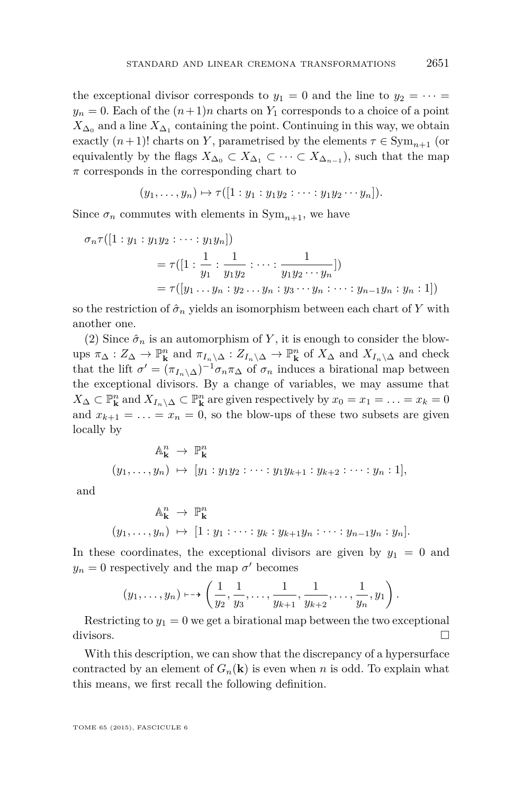the exceptional divisor corresponds to  $y_1 = 0$  and the line to  $y_2 = \cdots =$  $y_n = 0$ . Each of the  $(n+1)n$  charts on  $Y_1$  corresponds to a choice of a point  $X_{\Delta_0}$  and a line  $X_{\Delta_1}$  containing the point. Continuing in this way, we obtain exactly  $(n+1)!$  charts on *Y*, parametrised by the elements  $\tau \in \text{Sym}_{n+1}$  (or equivalently by the flags  $X_{\Delta_0} \subset X_{\Delta_1} \subset \cdots \subset X_{\Delta_{n-1}}$ , such that the map *π* corresponds in the corresponding chart to

$$
(y_1,\ldots,y_n)\mapsto\tau([1:y_1:y_1y_2:\cdots:y_1y_2\cdots y_n]).
$$

Since  $\sigma_n$  commutes with elements in  $Sym_{n+1}$ , we have

$$
\sigma_n \tau([1:y_1:y_1y_2:\cdots:y_1y_n])
$$
  
=  $\tau([1:\frac{1}{y_1}:\frac{1}{y_1y_2}:\cdots:\frac{1}{y_1y_2\cdots y_n}])$   
=  $\tau([y_1\cdots y_n:y_2\cdots y_n:y_3\cdots y_n:\cdots:y_{n-1}y_n:y_n:1])$ 

so the restriction of  $\hat{\sigma}_n$  yields an isomorphism between each chart of Y with another one.

(2) Since  $\hat{\sigma}_n$  is an automorphism of Y, it is enough to consider the blowups  $\pi_{\Delta}: Z_{\Delta} \to \mathbb{P}^n_{\mathbf{k}}$  and  $\pi_{I_n \setminus \Delta}: Z_{I_n \setminus \Delta} \to \mathbb{P}^n_{\mathbf{k}}$  of  $X_{\Delta}$  and  $X_{I_n \setminus \Delta}$  and check that the lift  $\sigma' = (\pi_{I_n} \setminus \Delta)^{-1} \sigma_n \pi_\Delta$  of  $\sigma_n$  induces a birational map between the exceptional divisors. By a change of variables, we may assume that *X*∆ ⊂  $\mathbb{P}^n_k$  and *X*<sub>*I*<sup>n</sup></sub> ∧ ⊂  $\mathbb{P}^n_k$  are given respectively by  $x_0 = x_1 = \ldots = x_k = 0$ and  $x_{k+1} = \ldots = x_n = 0$ , so the blow-ups of these two subsets are given locally by

$$
\mathbb{A}_{\mathbf{k}}^{n} \to \mathbb{P}_{\mathbf{k}}^{n}
$$
  

$$
(y_{1}, \ldots, y_{n}) \mapsto [y_{1} : y_{1}y_{2} : \cdots : y_{1}y_{k+1} : y_{k+2} : \cdots : y_{n} : 1],
$$

and

$$
\mathbb{A}_{\mathbf{k}}^n \to \mathbb{P}_{\mathbf{k}}^n
$$
  

$$
(y_1, \ldots, y_n) \mapsto [1 : y_1 : \cdots : y_k : y_{k+1} y_n : \cdots : y_{n-1} y_n : y_n].
$$

In these coordinates, the exceptional divisors are given by  $y_1 = 0$  and  $y_n = 0$  respectively and the map  $\sigma'$  becomes

$$
(y_1, \ldots, y_n) \mapsto \left(\frac{1}{y_2}, \frac{1}{y_3}, \ldots, \frac{1}{y_{k+1}}, \frac{1}{y_{k+2}}, \ldots, \frac{1}{y_n}, y_1\right).
$$

Restricting to  $y_1 = 0$  we get a birational map between the two exceptional divisors.

With this description, we can show that the discrepancy of a hypersurface contracted by an element of  $G_n(\mathbf{k})$  is even when *n* is odd. To explain what this means, we first recall the following definition.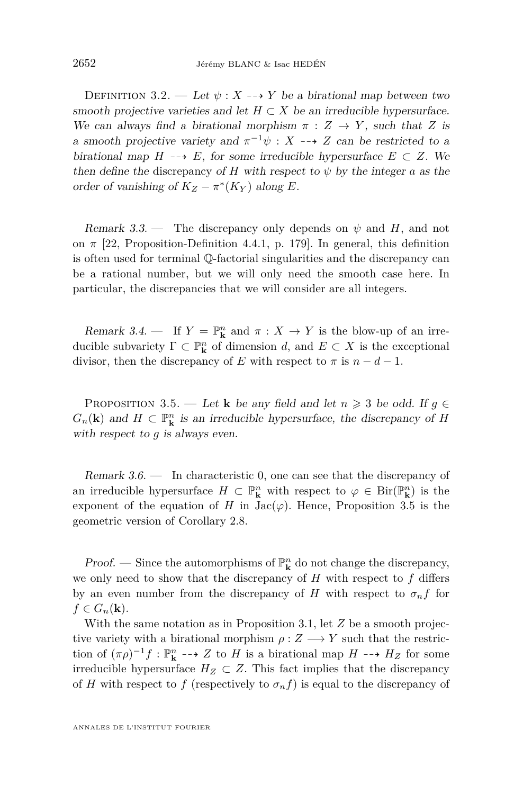<span id="page-12-0"></span>DEFINITION 3.2. — Let  $\psi: X \dashrightarrow Y$  be a birational map between two smooth projective varieties and let  $H \subset X$  be an irreducible hypersurface. We can always find a birational morphism  $\pi : Z \to Y$ , such that *Z* is a smooth projective variety and  $\pi^{-1}\psi$  :  $X \dashrightarrow Z$  can be restricted to a birational map  $H \dashrightarrow E$ , for some irreducible hypersurface  $E \subset Z$ . We then define the discrepancy of *H* with respect to  $\psi$  by the integer *a* as the order of vanishing of  $K_Z - \pi^*(K_Y)$  along *E*.

Remark 3.3. — The discrepancy only depends on  $\psi$  and *H*, and not on  $\pi$  [\[22,](#page-39-0) Proposition-Definition 4.4.1, p. 179]. In general, this definition is often used for terminal Q-factorial singularities and the discrepancy can be a rational number, but we will only need the smooth case here. In particular, the discrepancies that we will consider are all integers.

Remark 3.4. — If  $Y = \mathbb{P}^n_k$  and  $\pi : X \to Y$  is the blow-up of an irreducible subvariety  $\Gamma \subset \mathbb{P}^n_{\mathbf{k}}$  of dimension *d*, and  $E \subset X$  is the exceptional divisor, then the discrepancy of *E* with respect to  $\pi$  is  $n - d - 1$ .

PROPOSITION 3.5. — Let **k** be any field and let  $n \geq 3$  be odd. If  $g \in$ *G*<sub>*n*</sub>(**k**) and *H* ⊂  $\mathbb{P}_{\mathbf{k}}^n$  is an irreducible hypersurface, the discrepancy of *H* with respect to *g* is always even.

Remark 3.6. — In characteristic 0, one can see that the discrepancy of an irreducible hypersurface  $H \subset \mathbb{P}^n_{\mathbf{k}}$  with respect to  $\varphi \in \text{Bir}(\mathbb{P}^n_{\mathbf{k}})$  is the exponent of the equation of *H* in  $Jac(\varphi)$ . Hence, Proposition 3.5 is the geometric version of Corollary [2.8.](#page-8-0)

**Proof.** — Since the automorphisms of  $\mathbb{P}^n_{\mathbf{k}}$  do not change the discrepancy, we only need to show that the discrepancy of *H* with respect to *f* differs by an even number from the discrepancy of *H* with respect to  $\sigma_n f$  for  $f \in G_n(\mathbf{k}).$ 

With the same notation as in Proposition [3.1,](#page-10-0) let *Z* be a smooth projective variety with a birational morphism  $\rho: Z \longrightarrow Y$  such that the restriction of  $(\pi \rho)^{-1} f : \mathbb{P}^n_{\mathbf{k}} \dashrightarrow Z$  to *H* is a birational map  $H \dashrightarrow H_Z$  for some irreducible hypersurface  $H_Z \subset Z$ . This fact implies that the discrepancy of *H* with respect to *f* (respectively to  $\sigma_n f$ ) is equal to the discrepancy of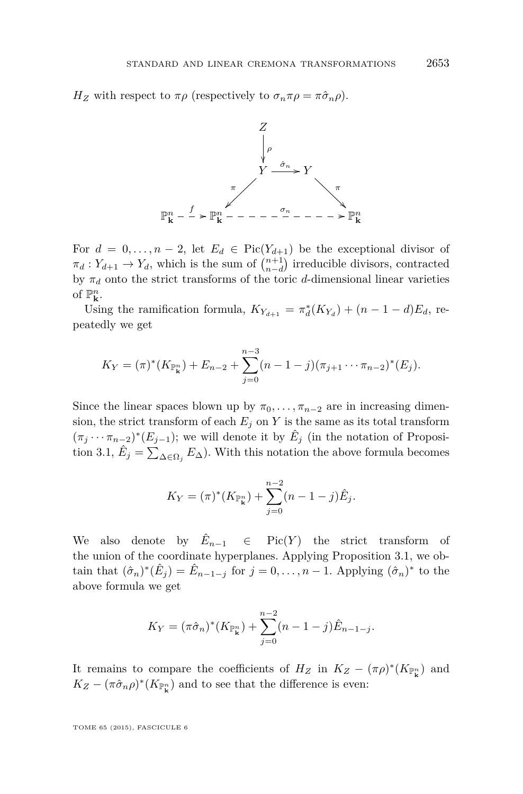*H<sub>Z</sub>* with respect to  $\pi \rho$  (respectively to  $\sigma_n \pi \rho = \pi \hat{\sigma}_n \rho$ ).



For  $d = 0, \ldots, n-2$ , let  $E_d \in Pic(Y_{d+1})$  be the exceptional divisor of  $\pi_d: Y_{d+1} \to Y_d$ , which is the sum of  $\binom{n+1}{n-d}$  irreducible divisors, contracted by  $\pi_d$  onto the strict transforms of the toric *d*-dimensional linear varieties of  $\mathbb{P}^n_{\mathbf{k}}$ .

Using the ramification formula,  $K_{Y_{d+1}} = \pi_d^*(K_{Y_d}) + (n-1-d)E_d$ , repeatedly we get

$$
K_Y = (\pi)^* (K_{\mathbb{P}_k^n}) + E_{n-2} + \sum_{j=0}^{n-3} (n-1-j)(\pi_{j+1} \cdots \pi_{n-2})^* (E_j).
$$

Since the linear spaces blown up by  $\pi_0, \ldots, \pi_{n-2}$  are in increasing dimension, the strict transform of each  $E_j$  on  $Y$  is the same as its total transform  $(\pi_j \cdots \pi_{n-2})^*(E_{j-1})$ ; we will denote it by  $\hat{E}_j$  (in the notation of Proposi-tion [3.1,](#page-10-0)  $\hat{E}_j = \sum_{\Delta \in \Omega_j} E_{\Delta}$ ). With this notation the above formula becomes

$$
K_Y = (\pi)^* (K_{\mathbb{P}_k^n}) + \sum_{j=0}^{n-2} (n-1-j)\hat{E}_j.
$$

We also denote by  $\hat{E}_{n-1}$   $\in$  Pic(*Y*) the strict transform of the union of the coordinate hyperplanes. Applying Proposition [3.1,](#page-10-0) we obtain that  $(\hat{\sigma}_n)^*(\hat{E}_j) = \hat{E}_{n-1-j}$  for  $j = 0, \ldots, n-1$ . Applying  $(\hat{\sigma}_n)^*$  to the above formula we get

$$
K_Y = (\pi \hat{\sigma}_n)^* (K_{\mathbb{P}_k^n}) + \sum_{j=0}^{n-2} (n-1-j) \hat{E}_{n-1-j}.
$$

It remains to compare the coefficients of  $H_Z$  in  $K_Z - (\pi \rho)^*(K_{\mathbb{P}_k^n})$  and  $K_Z - (\pi \hat{\sigma}_n \rho)^* (K_{\mathbb{P}^n_{\mathbf{k}}})$  and to see that the difference is even: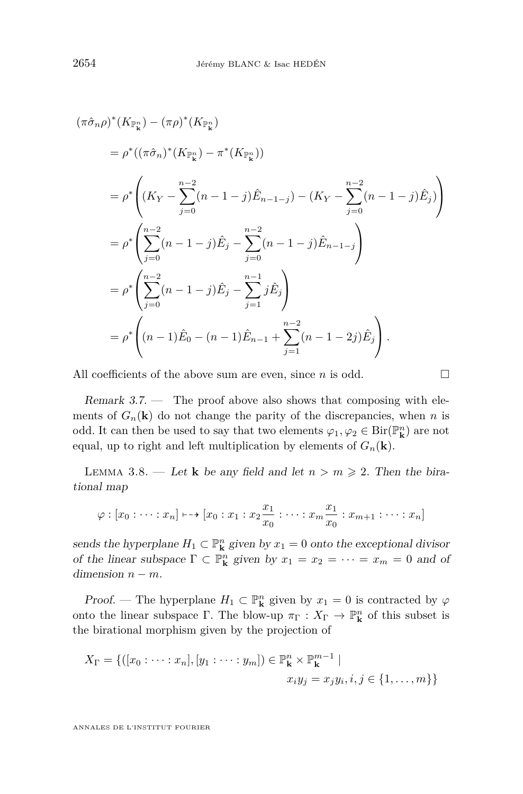<span id="page-14-0"></span>
$$
(\pi \hat{\sigma}_n \rho)^* (K_{\mathbb{P}_k^n}) - (\pi \rho)^* (K_{\mathbb{P}_k^n})
$$
  
\n
$$
= \rho^* ((\pi \hat{\sigma}_n)^* (K_{\mathbb{P}_k^n}) - \pi^* (K_{\mathbb{P}_k^n}))
$$
  
\n
$$
= \rho^* \left( (K_Y - \sum_{j=0}^{n-2} (n-1-j) \hat{E}_{n-1-j}) - (K_Y - \sum_{j=0}^{n-2} (n-1-j) \hat{E}_j) \right)
$$
  
\n
$$
= \rho^* \left( \sum_{j=0}^{n-2} (n-1-j) \hat{E}_j - \sum_{j=0}^{n-2} (n-1-j) \hat{E}_{n-1-j} \right)
$$
  
\n
$$
= \rho^* \left( \sum_{j=0}^{n-2} (n-1-j) \hat{E}_j - \sum_{j=1}^{n-1} j \hat{E}_j \right)
$$
  
\n
$$
= \rho^* \left( (n-1) \hat{E}_0 - (n-1) \hat{E}_{n-1} + \sum_{j=1}^{n-2} (n-1-2j) \hat{E}_j \right).
$$

All coefficients of the above sum are even, since  $n$  is odd.  $\square$ 

Remark  $3.7.$  — The proof above also shows that composing with elements of  $G_n(\mathbf{k})$  do not change the parity of the discrepancies, when *n* is odd. It can then be used to say that two elements  $\varphi_1, \varphi_2 \in \text{Bir}(\mathbb{P}^n_{\mathbf{k}})$  are not equal, up to right and left multiplication by elements of  $G_n(\mathbf{k})$ .

LEMMA 3.8. — Let **k** be any field and let  $n > m \ge 2$ . Then the birational map

$$
\varphi : [x_0 : \cdots : x_n] \mapsto [x_0 : x_1 : x_2 \frac{x_1}{x_0} : \cdots : x_m \frac{x_1}{x_0} : x_{m+1} : \cdots : x_n]
$$

sends the hyperplane  $H_1 \subset \mathbb{P}^n_k$  given by  $x_1 = 0$  onto the exceptional divisor of the linear subspace  $\Gamma \subset \mathbb{P}^n_k$  given by  $x_1 = x_2 = \cdots = x_m = 0$  and of dimension  $n - m$ .

*Proof.* — The hyperplane  $H_1 \subset \mathbb{P}^n_k$  given by  $x_1 = 0$  is contracted by  $\varphi$ onto the linear subspace  $\Gamma$ . The blow-up  $\pi_{\Gamma}: X_{\Gamma} \to \mathbb{P}^n_{\mathbf{k}}$  of this subset is the birational morphism given by the projection of

$$
X_{\Gamma} = \{([x_0 : \dots : x_n], [y_1 : \dots : y_m]) \in \mathbb{P}_{\mathbf{k}}^n \times \mathbb{P}_{\mathbf{k}}^{m-1} \mid x_i y_j = x_j y_i, i, j \in \{1, \dots, m\}\}\
$$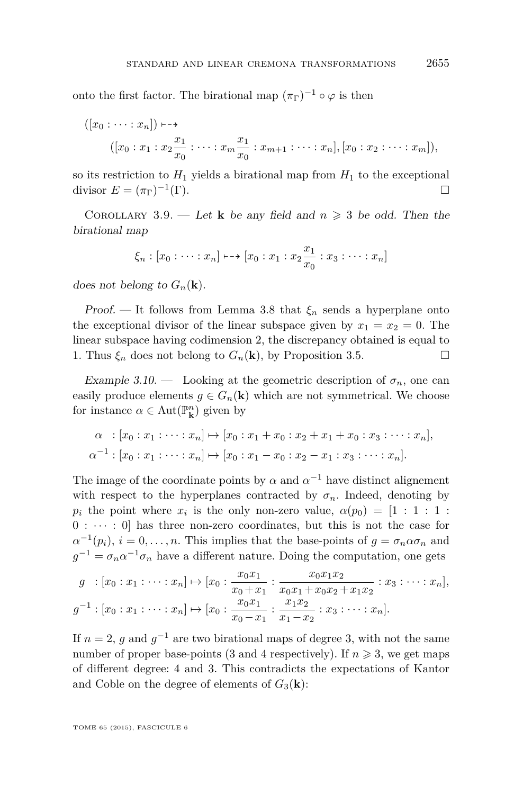<span id="page-15-0"></span>onto the first factor. The birational map  $(\pi_{\Gamma})^{-1} \circ \varphi$  is then

$$
([x_0 : \dots : x_n]) \longmapsto
$$
  

$$
([x_0 : x_1 : x_2 \frac{x_1}{x_0} : \dots : x_m \frac{x_1}{x_0} : x_{m+1} : \dots : x_n], [x_0 : x_2 : \dots : x_m]),
$$

so its restriction to  $H_1$  yields a birational map from  $H_1$  to the exceptional divisor  $E = (\pi_{\Gamma})^{-1}$ (Γ).

COROLLARY 3.9. — Let **k** be any field and  $n \geq 3$  be odd. Then the birational map

$$
\xi_n : [x_0 : \cdots : x_n] \mapsto [x_0 : x_1 : x_2 \frac{x_1}{x_0} : x_3 : \cdots : x_n]
$$

does not belong to  $G_n(\mathbf{k})$ .

Proof. — It follows from Lemma [3.8](#page-14-0) that  $\xi_n$  sends a hyperplane onto the exceptional divisor of the linear subspace given by  $x_1 = x_2 = 0$ . The linear subspace having codimension 2, the discrepancy obtained is equal to 1. Thus  $\xi_n$  does not belong to  $G_n(\mathbf{k})$ , by Proposition [3.5.](#page-12-0)

Example 3.10. — Looking at the geometric description of  $\sigma_n$ , one can easily produce elements  $g \in G_n(\mathbf{k})$  which are not symmetrical. We choose for instance  $\alpha \in \text{Aut}(\mathbb{P}^n_{\mathbf{k}})$  given by

$$
\alpha : [x_0 : x_1 : \cdots : x_n] \mapsto [x_0 : x_1 + x_0 : x_2 + x_1 + x_0 : x_3 : \cdots : x_n],
$$
  

$$
\alpha^{-1} : [x_0 : x_1 : \cdots : x_n] \mapsto [x_0 : x_1 - x_0 : x_2 - x_1 : x_3 : \cdots : x_n].
$$

The image of the coordinate points by  $\alpha$  and  $\alpha^{-1}$  have distinct alignement with respect to the hyperplanes contracted by  $\sigma_n$ . Indeed, denoting by *p<sub>i</sub>* the point where  $x_i$  is the only non-zero value,  $\alpha(p_0) = [1 : 1 : 1 :$  $0 : \cdots : 0$  has three non-zero coordinates, but this is not the case for  $\alpha^{-1}(p_i)$ ,  $i = 0, \ldots, n$ . This implies that the base-points of  $g = \sigma_n \alpha \sigma_n$  and  $g^{-1} = \sigma_n \alpha^{-1} \sigma_n$  have a different nature. Doing the computation, one gets

$$
g : [x_0 : x_1 : \dots : x_n] \mapsto [x_0 : \frac{x_0 x_1}{x_0 + x_1} : \frac{x_0 x_1 x_2}{x_0 x_1 + x_0 x_2 + x_1 x_2} : x_3 : \dots : x_n],
$$
  

$$
g^{-1} : [x_0 : x_1 : \dots : x_n] \mapsto [x_0 : \frac{x_0 x_1}{x_0 - x_1} : \frac{x_1 x_2}{x_1 - x_2} : x_3 : \dots : x_n].
$$

If  $n = 2$ , g and  $g^{-1}$  are two birational maps of degree 3, with not the same number of proper base-points (3 and 4 respectively). If  $n \geqslant 3$ , we get maps of different degree: 4 and 3. This contradicts the expectations of Kantor and Coble on the degree of elements of  $G_3(\mathbf{k})$ :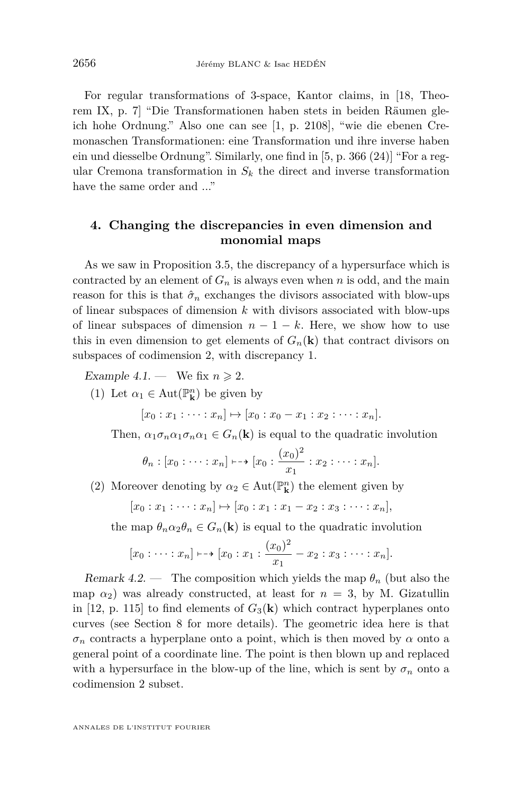<span id="page-16-0"></span>For regular transformations of 3-space, Kantor claims, in [\[18,](#page-39-0) Theorem IX, p. 7] "Die Transformationen haben stets in beiden Räumen gleich hohe Ordnung." Also one can see [\[1,](#page-38-0) p. 2108], "wie die ebenen Cremonaschen Transformationen: eine Transformation und ihre inverse haben ein und diesselbe Ordnung". Similarly, one find in [\[5,](#page-38-0) p. 366 (24)] "For a regular Cremona transformation in  $S_k$  the direct and inverse transformation have the same order and ..."

## **4. Changing the discrepancies in even dimension and monomial maps**

As we saw in Proposition [3.5,](#page-12-0) the discrepancy of a hypersurface which is contracted by an element of  $G_n$  is always even when *n* is odd, and the main reason for this is that  $\hat{\sigma}_n$  exchanges the divisors associated with blow-ups of linear subspaces of dimension *k* with divisors associated with blow-ups of linear subspaces of dimension  $n-1-k$ . Here, we show how to use this in even dimension to get elements of  $G_n(\mathbf{k})$  that contract divisors on subspaces of codimension 2, with discrepancy 1.

Example 4.1. — We fix  $n \geq 2$ .

(1) Let  $\alpha_1 \in \text{Aut}(\mathbb{P}^n_{\mathbf{k}})$  be given by

$$
[x_0 : x_1 : \cdots : x_n] \mapsto [x_0 : x_0 - x_1 : x_2 : \cdots : x_n].
$$

Then,  $\alpha_1 \sigma_n \alpha_1 \sigma_n \alpha_1 \in G_n(\mathbf{k})$  is equal to the quadratic involution

$$
\theta_n : [x_0 : \cdots : x_n] \mapsto [x_0 : \frac{(x_0)^2}{x_1} : x_2 : \cdots : x_n].
$$

(2) Moreover denoting by  $\alpha_2 \in \text{Aut}(\mathbb{P}^n_{\mathbf{k}})$  the element given by

$$
[x_0:x_1:\cdots:x_n]\mapsto [x_0:x_1:x_1-x_2:x_3:\cdots:x_n],
$$

the map  $\theta_n \alpha_2 \theta_n \in G_n(\mathbf{k})$  is equal to the quadratic involution

$$
[x_0:\cdots:x_n]\mapsto [x_0:x_1:\frac{(x_0)^2}{x_1}-x_2:x_3:\cdots:x_n].
$$

Remark 4.2. — The composition which yields the map  $\theta_n$  (but also the map  $\alpha_2$ ) was already constructed, at least for  $n = 3$ , by M. Gizatullin in [\[12,](#page-39-0) p. 115] to find elements of  $G_3(\mathbf{k})$  which contract hyperplanes onto curves (see Section [8](#page-35-0) for more details). The geometric idea here is that  $\sigma_n$  contracts a hyperplane onto a point, which is then moved by  $\alpha$  onto a general point of a coordinate line. The point is then blown up and replaced with a hypersurface in the blow-up of the line, which is sent by  $\sigma_n$  onto a codimension 2 subset.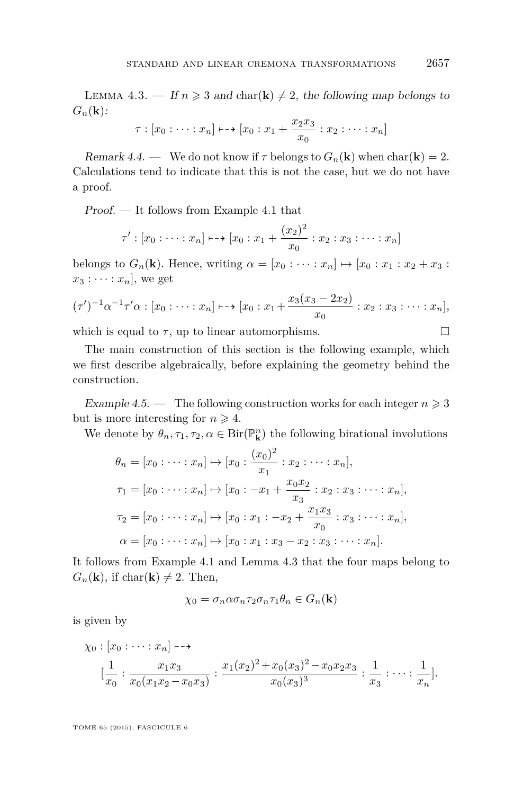<span id="page-17-0"></span>LEMMA 4.3. — If  $n \geq 3$  and char(**k**)  $\neq 2$ , the following map belongs to  $G_n(\mathbf{k})$ :

$$
\tau : [x_0 : \cdots : x_n] \mapsto [x_0 : x_1 + \frac{x_2 x_3}{x_0} : x_2 : \cdots : x_n]
$$

Remark 4.4. — We do not know if  $\tau$  belongs to  $G_n(\mathbf{k})$  when char( $\mathbf{k}$ ) = 2. Calculations tend to indicate that this is not the case, but we do not have a proof.

Proof. — It follows from Example [4.1](#page-16-0) that

$$
\tau': [x_0 : \dots : x_n] \longmapsto [x_0 : x_1 + \frac{(x_2)^2}{x_0} : x_2 : x_3 : \dots : x_n]
$$

belongs to  $G_n(\mathbf{k})$ . Hence, writing  $\alpha = [x_0 : \cdots : x_n] \mapsto [x_0 : x_1 : x_2 + x_3 :$  $x_3 : \cdots : x_n$ , we get

$$
(\tau')^{-1} \alpha^{-1} \tau' \alpha : [x_0 : \dots : x_n] \longmapsto [x_0 : x_1 + \frac{x_3(x_3 - 2x_2)}{x_0} : x_2 : x_3 : \dots : x_n],
$$

which is equal to  $\tau$ , up to linear automorphisms.  $\Box$ 

The main construction of this section is the following example, which we first describe algebraically, before explaining the geometry behind the construction.

Example 4.5. — The following construction works for each integer  $n \geq 3$ but is more interesting for  $n \geq 4$ .

We denote by  $\theta_n, \tau_1, \tau_2, \alpha \in \text{Bir}(\mathbb{P}^n_{\mathbf{k}})$  the following birational involutions

$$
\theta_n = [x_0 : \dots : x_n] \mapsto [x_0 : \frac{(x_0)^2}{x_1} : x_2 : \dots : x_n],
$$
  
\n
$$
\tau_1 = [x_0 : \dots : x_n] \mapsto [x_0 : -x_1 + \frac{x_0 x_2}{x_3} : x_2 : x_3 : \dots : x_n],
$$
  
\n
$$
\tau_2 = [x_0 : \dots : x_n] \mapsto [x_0 : x_1 : -x_2 + \frac{x_1 x_3}{x_0} : x_3 : \dots : x_n],
$$
  
\n
$$
\alpha = [x_0 : \dots : x_n] \mapsto [x_0 : x_1 : x_3 - x_2 : x_3 : \dots : x_n].
$$

It follows from Example [4.1](#page-16-0) and Lemma 4.3 that the four maps belong to  $G_n(\mathbf{k})$ , if char( $\mathbf{k}$ )  $\neq$  2. Then,

$$
\chi_0 = \sigma_n \alpha \sigma_n \tau_2 \sigma_n \tau_1 \theta_n \in G_n(\mathbf{k})
$$

is given by

$$
\chi_0: [x_0: \cdots : x_n] \longmapsto
$$
  

$$
[\frac{1}{x_0} : \frac{x_1 x_3}{x_0 (x_1 x_2 - x_0 x_3)} : \frac{x_1 (x_2)^2 + x_0 (x_3)^2 - x_0 x_2 x_3}{x_0 (x_3)^3} : \frac{1}{x_3} : \cdots : \frac{1}{x_n}].
$$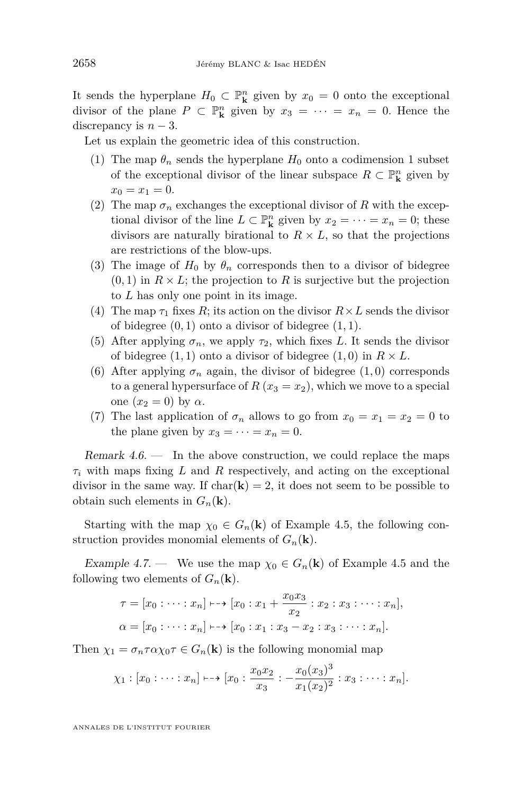<span id="page-18-0"></span>It sends the hyperplane  $H_0 \subset \mathbb{P}^n_k$  given by  $x_0 = 0$  onto the exceptional divisor of the plane  $P \subset \mathbb{P}^n_k$  given by  $x_3 = \cdots = x_n = 0$ . Hence the discrepancy is  $n-3$ .

Let us explain the geometric idea of this construction.

- (1) The map  $\theta_n$  sends the hyperplane  $H_0$  onto a codimension 1 subset of the exceptional divisor of the linear subspace  $R \subset \mathbb{P}^n_{\mathbf{k}}$  given by  $x_0 = x_1 = 0.$
- (2) The map  $\sigma_n$  exchanges the exceptional divisor of R with the exceptional divisor of the line  $L \subset \mathbb{P}^n_k$  given by  $x_2 = \cdots = x_n = 0$ ; these divisors are naturally birational to  $R \times L$ , so that the projections are restrictions of the blow-ups.
- (3) The image of  $H_0$  by  $\theta_n$  corresponds then to a divisor of bidegree  $(0,1)$  in  $R \times L$ ; the projection to R is surjective but the projection to *L* has only one point in its image.
- (4) The map  $\tau_1$  fixes R; its action on the divisor  $R \times L$  sends the divisor of bidegree  $(0, 1)$  onto a divisor of bidegree  $(1, 1)$ .
- (5) After applying  $\sigma_n$ , we apply  $\tau_2$ , which fixes *L*. It sends the divisor of bidegree  $(1, 1)$  onto a divisor of bidegree  $(1, 0)$  in  $R \times L$ .
- (6) After applying  $\sigma_n$  again, the divisor of bidegree  $(1,0)$  corresponds to a general hypersurface of  $R(x_3 = x_2)$ , which we move to a special one  $(x_2 = 0)$  by  $\alpha$ .
- (7) The last application of  $\sigma_n$  allows to go from  $x_0 = x_1 = x_2 = 0$  to the plane given by  $x_3 = \cdots = x_n = 0$ .

Remark  $4.6.$  — In the above construction, we could replace the maps *τ<sup>i</sup>* with maps fixing *L* and *R* respectively, and acting on the exceptional divisor in the same way. If  $char(\mathbf{k}) = 2$ , it does not seem to be possible to obtain such elements in  $G_n(\mathbf{k})$ .

Starting with the map  $\chi_0 \in G_n(\mathbf{k})$  of Example [4.5,](#page-17-0) the following construction provides monomial elements of  $G_n(\mathbf{k})$ .

Example 4.7. — We use the map  $\chi_0 \in G_n(\mathbf{k})$  of Example [4.5](#page-17-0) and the following two elements of  $G_n(\mathbf{k})$ .

$$
\tau = [x_0 : \dots : x_n] \longmapsto [x_0 : x_1 + \frac{x_0 x_3}{x_2} : x_2 : x_3 : \dots : x_n],
$$
  

$$
\alpha = [x_0 : \dots : x_n] \longmapsto [x_0 : x_1 : x_3 - x_2 : x_3 : \dots : x_n].
$$

Then  $\chi_1 = \sigma_n \tau \alpha \chi_0 \tau \in G_n(\mathbf{k})$  is the following monomial map

$$
\chi_1 : [x_0 : \cdots : x_n] \mapsto [x_0 : \frac{x_0 x_2}{x_3} : -\frac{x_0 (x_3)^3}{x_1 (x_2)^2} : x_3 : \cdots : x_n].
$$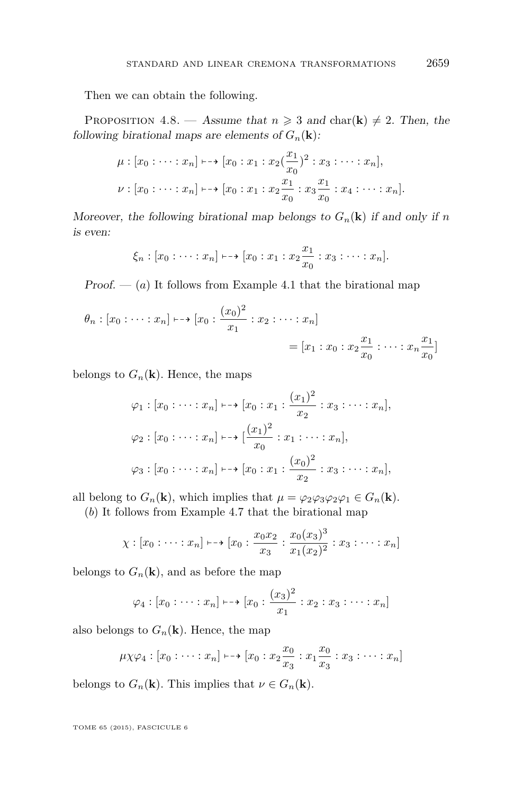<span id="page-19-0"></span>Then we can obtain the following.

PROPOSITION 4.8. — Assume that  $n \geq 3$  and char(**k**)  $\neq 2$ . Then, the following birational maps are elements of  $G_n(\mathbf{k})$ :

$$
\mu : [x_0 : \dots : x_n] \longmapsto [x_0 : x_1 : x_2(\frac{x_1}{x_0})^2 : x_3 : \dots : x_n],
$$
  

$$
\nu : [x_0 : \dots : x_n] \longmapsto [x_0 : x_1 : x_2 \frac{x_1}{x_0} : x_3 \frac{x_1}{x_0} : x_4 : \dots : x_n].
$$

Moreover, the following birational map belongs to  $G_n(\mathbf{k})$  if and only if *n* is even:

$$
\xi_n : [x_0 : \cdots : x_n] \longmapsto [x_0 : x_1 : x_2 \frac{x_1}{x_0} : x_3 : \cdots : x_n].
$$

Proof.  $-$  (*a*) It follows from Example [4.1](#page-16-0) that the birational map

$$
\theta_n : [x_0 : \dots : x_n] \longmapsto [x_0 : \frac{(x_0)^2}{x_1} : x_2 : \dots : x_n]
$$
  
=  $[x_1 : x_0 : x_2 \frac{x_1}{x_0} : \dots : x_n \frac{x_1}{x_0}]$ 

belongs to  $G_n(\mathbf{k})$ . Hence, the maps

$$
\varphi_1 : [x_0 : \dots : x_n] \longmapsto [x_0 : x_1 : \frac{(x_1)^2}{x_2} : x_3 : \dots : x_n],
$$
  

$$
\varphi_2 : [x_0 : \dots : x_n] \longmapsto [\frac{(x_1)^2}{x_0} : x_1 : \dots : x_n],
$$
  

$$
\varphi_3 : [x_0 : \dots : x_n] \longmapsto [x_0 : x_1 : \frac{(x_0)^2}{x_2} : x_3 : \dots : x_n],
$$

all belong to  $G_n(\mathbf{k})$ , which implies that  $\mu = \varphi_2 \varphi_3 \varphi_2 \varphi_1 \in G_n(\mathbf{k})$ .

(*b*) It follows from Example [4.7](#page-18-0) that the birational map

$$
\chi : [x_0 : \cdots : x_n] \mapsto [x_0 : \frac{x_0 x_2}{x_3} : \frac{x_0 (x_3)^3}{x_1 (x_2)^2} : x_3 : \cdots : x_n]
$$

belongs to  $G_n(\mathbf{k})$ , and as before the map

$$
\varphi_4 : [x_0 : \cdots : x_n] \mapsto [x_0 : \frac{(x_3)^2}{x_1} : x_2 : x_3 : \cdots : x_n]
$$

also belongs to  $G_n(\mathbf{k})$ . Hence, the map

$$
\mu \chi \varphi_4 : [x_0 : \cdots : x_n] \mapsto [x_0 : x_2 \frac{x_0}{x_3} : x_1 \frac{x_0}{x_3} : x_3 : \cdots : x_n]
$$

belongs to  $G_n(\mathbf{k})$ . This implies that  $\nu \in G_n(\mathbf{k})$ .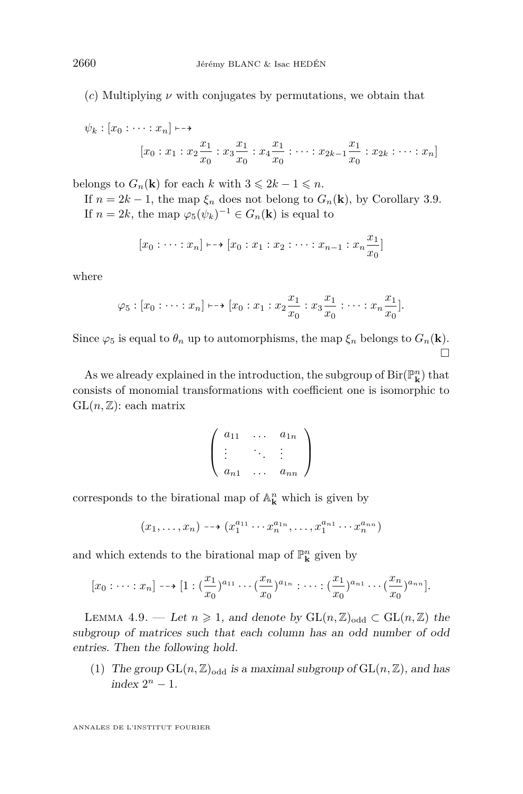(*c*) Multiplying *ν* with conjugates by permutations, we obtain that

$$
\psi_k : [x_0 : \dots : x_n] \longmapsto
$$
  

$$
[x_0 : x_1 : x_2 \frac{x_1}{x_0} : x_3 \frac{x_1}{x_0} : x_4 \frac{x_1}{x_0} : \dots : x_{2k-1} \frac{x_1}{x_0} : x_{2k} : \dots : x_n]
$$

belongs to  $G_n(\mathbf{k})$  for each *k* with  $3 \leq 2k - 1 \leq n$ .

If  $n = 2k - 1$ , the map  $\xi_n$  does not belong to  $G_n(\mathbf{k})$ , by Corollary [3.9.](#page-15-0) If  $n = 2k$ , the map  $\varphi_5(\psi_k)^{-1} \in G_n(\mathbf{k})$  is equal to

$$
[x_0 : \dots : x_n] \longmapsto [x_0 : x_1 : x_2 : \dots : x_{n-1} : x_n \frac{x_1}{x_0}]
$$

where

$$
\varphi_5 : [x_0 : \cdots : x_n] \mapsto [x_0 : x_1 : x_2 \frac{x_1}{x_0} : x_3 \frac{x_1}{x_0} : \cdots : x_n \frac{x_1}{x_0}].
$$

Since  $\varphi_5$  is equal to  $\theta_n$  up to automorphisms, the map  $\xi_n$  belongs to  $G_n(\mathbf{k})$ .  $\Box$ 

As we already explained in the introduction, the subgroup of  ${\rm Bir}({\mathbb P}^n_{\bf k})$  that consists of monomial transformations with coefficient one is isomorphic to  $GL(n, \mathbb{Z})$ : each matrix

$$
\left(\begin{array}{ccc} a_{11} & \dots & a_{1n} \\ \vdots & \ddots & \vdots \\ a_{n1} & \dots & a_{nn} \end{array}\right)
$$

corresponds to the birational map of  $\mathbb{A}^n_{\mathbf{k}}$  which is given by

$$
(x_1, \ldots, x_n) \dashrightarrow (x_1^{a_{11}} \cdots x_n^{a_{1n}}, \ldots, x_1^{a_{n1}} \cdots x_n^{a_{nn}})
$$

and which extends to the birational map of  $\mathbb{P}^n_{\mathbf{k}}$  given by

$$
[x_0:\cdots:x_n]\dashrightarrow [1:(\frac{x_1}{x_0})^{a_{11}}\cdots(\frac{x_n}{x_0})^{a_{1n}}:\cdots:(\frac{x_1}{x_0})^{a_{n1}}\cdots(\frac{x_n}{x_0})^{a_{nn}}].
$$

LEMMA 4.9. — Let  $n \geq 1$ , and denote by  $GL(n,\mathbb{Z})_{odd} \subset GL(n,\mathbb{Z})$  the subgroup of matrices such that each column has an odd number of odd entries. Then the following hold.

(1) The group  $GL(n, \mathbb{Z})_{odd}$  is a maximal subgroup of  $GL(n, \mathbb{Z})$ , and has  $index 2<sup>n</sup> - 1.$ 

<span id="page-20-0"></span>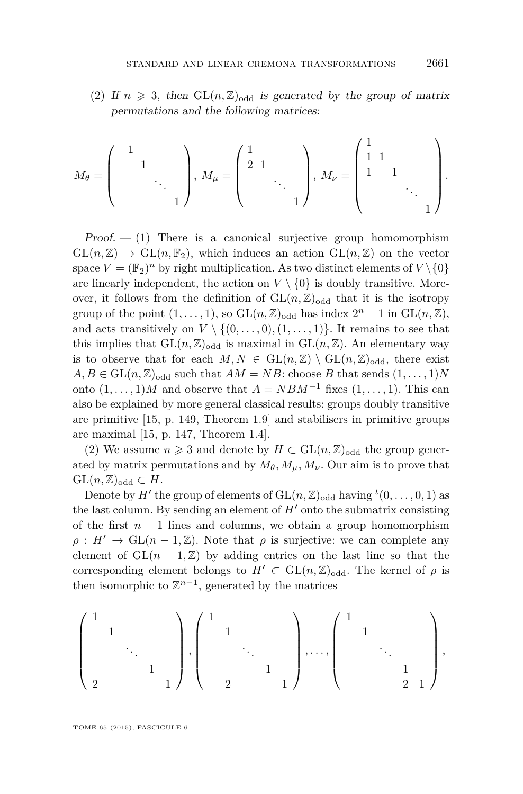(2) If  $n \geq 3$ , then  $GL(n, \mathbb{Z})_{odd}$  is generated by the group of matrix permutations and the following matrices:

$$
M_{\theta} = \begin{pmatrix} -1 & & & \\ & 1 & & \\ & & \ddots & \\ & & & 1 \end{pmatrix}, M_{\mu} = \begin{pmatrix} 1 & & & \\ 2 & 1 & & \\ & & \ddots & \\ & & & 1 \end{pmatrix}, M_{\nu} = \begin{pmatrix} 1 & & & \\ 1 & 1 & & \\ 1 & & 1 & \\ & & \ddots & \\ & & & 1 \end{pmatrix}.
$$

 $Proof. - (1)$  There is a canonical surjective group homomorphism  $GL(n,\mathbb{Z}) \to GL(n,\mathbb{F}_2)$ , which induces an action  $GL(n,\mathbb{Z})$  on the vector space  $V = (\mathbb{F}_2)^n$  by right multiplication. As two distinct elements of  $V \setminus \{0\}$ are linearly independent, the action on  $V \setminus \{0\}$  is doubly transitive. Moreover, it follows from the definition of  $GL(n,\mathbb{Z})_{odd}$  that it is the isotropy group of the point  $(1, \ldots, 1)$ , so  $GL(n, \mathbb{Z})$ <sub>odd</sub> has index  $2^n - 1$  in  $GL(n, \mathbb{Z})$ , and acts transitively on  $V \setminus \{(0, \ldots, 0), (1, \ldots, 1)\}\$ . It remains to see that this implies that  $GL(n, \mathbb{Z})_{odd}$  is maximal in  $GL(n, \mathbb{Z})$ . An elementary way is to observe that for each  $M, N \in GL(n, \mathbb{Z}) \setminus GL(n, \mathbb{Z})_{odd}$ , there exist  $A, B \in GL(n, \mathbb{Z})$ <sub>odd</sub> such that  $AM = NB$ : choose *B* that sends  $(1, \ldots, 1)N$ onto  $(1, \ldots, 1)M$  and observe that  $A = NBM^{-1}$  fixes  $(1, \ldots, 1)$ . This can also be explained by more general classical results: groups doubly transitive are primitive [\[15,](#page-39-0) p. 149, Theorem 1.9] and stabilisers in primitive groups are maximal [\[15,](#page-39-0) p. 147, Theorem 1.4].

(2) We assume  $n \geq 3$  and denote by  $H \subset GL(n, \mathbb{Z})_{odd}$  the group generated by matrix permutations and by  $M_{\theta}$ ,  $M_{\mu}$ ,  $M_{\nu}$ . Our aim is to prove that  $GL(n,\mathbb{Z})_{odd} \subset H$ .

Denote by  $H'$  the group of elements of  $GL(n, \mathbb{Z})_{\text{odd}}$  having  ${}^t(0, \ldots, 0, 1)$  as the last column. By sending an element of  $H'$  onto the submatrix consisting of the first  $n-1$  lines and columns, we obtain a group homomorphism  $\rho: H' \to GL(n-1, \mathbb{Z})$ . Note that  $\rho$  is surjective: we can complete any element of  $GL(n-1,\mathbb{Z})$  by adding entries on the last line so that the corresponding element belongs to  $H' \subset GL(n, \mathbb{Z})_{odd}$ . The kernel of  $\rho$  is then isomorphic to  $\mathbb{Z}^{n-1}$ , generated by the matrices

$$
\begin{pmatrix} 1&&&&\\&1&&&\\&&\ddots&\\&&&1&\\2&&&&1\end{pmatrix}, \begin{pmatrix} 1&&&&\\&1&&&\\&&\ddots&\\&&&1&\\&&&1&\\&&&&1\end{pmatrix}, \ldots, \begin{pmatrix} 1&&&\\&1&&&\\&&\ddots&\\&&&1&\\&&&2&1\end{pmatrix},
$$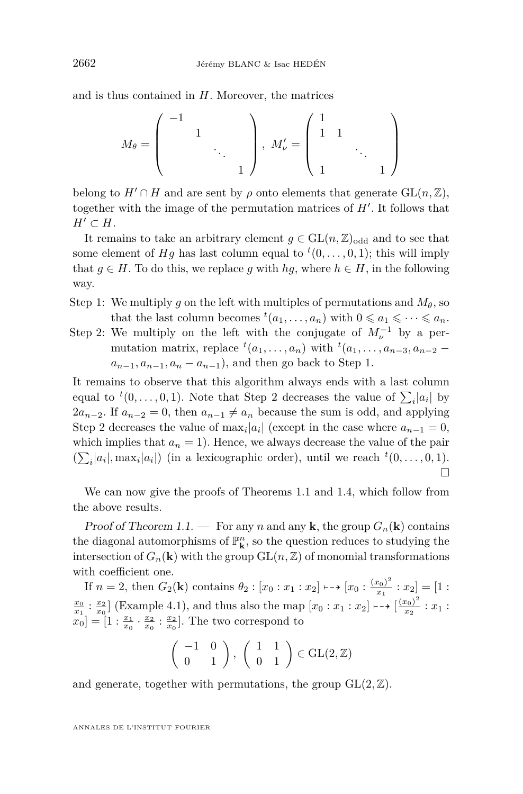and is thus contained in *H*. Moreover, the matrices

$$
M_{\theta} = \left(\begin{array}{cccc} -1 & & & \\ & 1 & & \\ & & \ddots & \\ & & & 1 \end{array}\right), M_{\nu}' = \left(\begin{array}{cccc} 1 & & & \\ 1 & 1 & & \\ & & \ddots & \\ 1 & & & 1 \end{array}\right)
$$

belong to  $H' \cap H$  and are sent by  $\rho$  onto elements that generate  $GL(n, \mathbb{Z})$ , together with the image of the permutation matrices of  $H'$ . It follows that  $H' \subset H$ .

It remains to take an arbitrary element  $g \in GL(n, \mathbb{Z})_{odd}$  and to see that some element of  $Hg$  has last column equal to  ${}^t(0,\ldots,0,1)$ ; this will imply that  $g \in H$ . To do this, we replace g with  $hg$ , where  $h \in H$ , in the following way.

- Step 1: We multiply *g* on the left with multiples of permutations and  $M_{\theta}$ , so that the last column becomes  ${}^t(a_1, \ldots, a_n)$  with  $0 \leq a_1 \leq \cdots \leq a_n$ .
- Step 2: We multiply on the left with the conjugate of  $M_{\nu}^{-1}$  by a permutation matrix, replace  ${}^t(a_1, \ldots, a_n)$  with  ${}^t(a_1, \ldots, a_{n-3}, a_{n-2}$  $a_{n-1}, a_{n-1}, a_n - a_{n-1}$ , and then go back to Step 1.

It remains to observe that this algorithm always ends with a last column equal to  ${}^t(0,\ldots,0,1)$ . Note that Step 2 decreases the value of  $\sum_i |a_i|$  by  $2a_{n-2}$ . If  $a_{n-2} = 0$ , then  $a_{n-1} \neq a_n$  because the sum is odd, and applying Step 2 decreases the value of  $\max_i |a_i|$  (except in the case where  $a_{n-1} = 0$ , which implies that  $a_n = 1$ ). Hence, we always decrease the value of the pair  $(\sum_i |a_i|, \max_i |a_i|)$  (in a lexicographic order), until we reach  $t(0, \ldots, 0, 1)$ .  $\Box$ 

We can now give the proofs of Theorems [1.1](#page-3-0) and [1.4,](#page-4-0) which follow from the above results.

Proof of Theorem [1.1.](#page-3-0) — For any *n* and any **k**, the group  $G_n(\mathbf{k})$  contains the diagonal automorphisms of  $\mathbb{P}^n_{\mathbf{k}}$ , so the question reduces to studying the intersection of  $G_n(\mathbf{k})$  with the group  $GL(n, \mathbb{Z})$  of monomial transformations with coefficient one.

If  $n = 2$ , then  $G_2(\mathbf{k})$  contains  $\theta_2 : [x_0 : x_1 : x_2] \mapsto [x_0 : \frac{(x_0)^2}{x_1}]$  $\frac{x_0}{x_1}$  :  $x_2$ ] = [1 :  $\frac{x_0}{x_1}$  :  $\frac{x_2}{x_0}$  [Example [4.1\)](#page-16-0), and thus also the map  $[x_0 : x_1 : x_2] \mapsto \left[\frac{(x_0)^2}{x_2}\right]$  $\frac{x_0}{x_2}$  :  $x_1$  :  $[x_0] = [1: \frac{x_1}{x_0} \cdot \frac{x_2}{x_0} : \frac{x_2}{x_0}]$ . The two correspond to

$$
\left(\begin{array}{cc} -1 & 0\\ 0 & 1 \end{array}\right), \left(\begin{array}{cc} 1 & 1\\ 0 & 1 \end{array}\right) \in \text{GL}(2,\mathbb{Z})
$$

and generate, together with permutations, the group  $GL(2, \mathbb{Z})$ .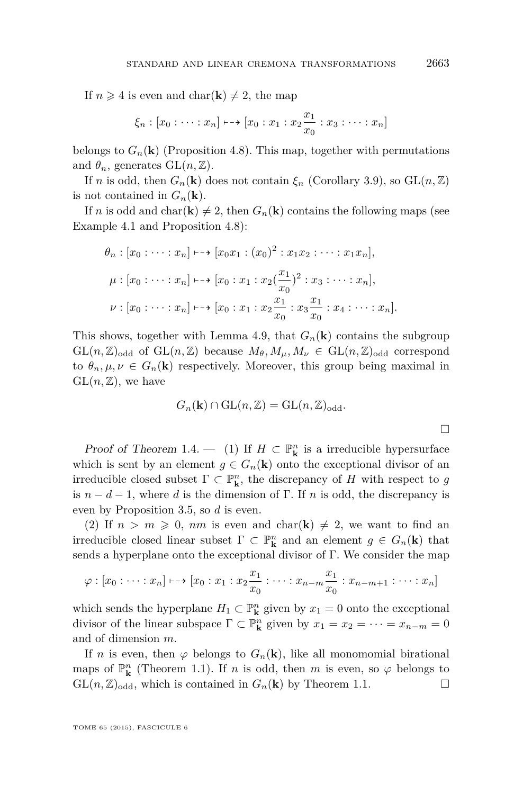If  $n \geq 4$  is even and char(**k**)  $\neq 2$ , the map

$$
\xi_n : [x_0 : \cdots : x_n] \mapsto [x_0 : x_1 : x_2 \frac{x_1}{x_0} : x_3 : \cdots : x_n]
$$

belongs to  $G_n(\mathbf{k})$  (Proposition [4.8\)](#page-19-0). This map, together with permutations and  $\theta_n$ , generates  $GL(n,\mathbb{Z})$ .

If *n* is odd, then  $G_n(\mathbf{k})$  does not contain  $\xi_n$  (Corollary [3.9\)](#page-15-0), so  $GL(n, \mathbb{Z})$ is not contained in  $G_n(\mathbf{k})$ .

If *n* is odd and char(**k**)  $\neq$  2, then  $G_n(\mathbf{k})$  contains the following maps (see Example [4.1](#page-16-0) and Proposition [4.8\)](#page-19-0):

$$
\theta_n : [x_0 : \dots : x_n] \longmapsto [x_0 x_1 : (x_0)^2 : x_1 x_2 : \dots : x_1 x_n],
$$
  
\n
$$
\mu : [x_0 : \dots : x_n] \longmapsto [x_0 : x_1 : x_2 \left(\frac{x_1}{x_0}\right)^2 : x_3 : \dots : x_n],
$$
  
\n
$$
\nu : [x_0 : \dots : x_n] \longmapsto [x_0 : x_1 : x_2 \frac{x_1}{x_0} : x_3 \frac{x_1}{x_0} : x_4 : \dots : x_n].
$$

This shows, together with Lemma [4.9,](#page-20-0) that  $G_n(\mathbf{k})$  contains the subgroup  $GL(n,\mathbb{Z})_{odd}$  of  $GL(n,\mathbb{Z})$  because  $M_{\theta}, M_{\mu}, M_{\nu} \in GL(n,\mathbb{Z})_{odd}$  correspond to  $\theta_n, \mu, \nu \in G_n(\mathbf{k})$  respectively. Moreover, this group being maximal in  $GL(n,\mathbb{Z})$ , we have

$$
G_n(\mathbf{k}) \cap \mathrm{GL}(n, \mathbb{Z}) = \mathrm{GL}(n, \mathbb{Z})_{\mathrm{odd}}.
$$

*Proof of Theorem [1](#page-4-0).4.* — (1) If  $H \subset \mathbb{P}^n$  is a irreducible hypersurface which is sent by an element  $g \in G_n(\mathbf{k})$  onto the exceptional divisor of an irreducible closed subset  $\Gamma \subset \mathbb{P}^n_{\mathbf{k}}$ , the discrepancy of *H* with respect to *g* is  $n - d - 1$ , where *d* is the dimension of Γ. If *n* is odd, the discrepancy is even by Proposition [3.5,](#page-12-0) so *d* is even.

(2) If  $n > m \geq 0$ , nm is even and char(k)  $\neq 2$ , we want to find an irreducible closed linear subset  $\Gamma \subset \mathbb{P}^n_{\mathbf{k}}$  and an element  $g \in G_n(\mathbf{k})$  that sends a hyperplane onto the exceptional divisor of  $\Gamma$ . We consider the map

$$
\varphi : [x_0 : \cdots : x_n] \mapsto [x_0 : x_1 : x_2 \frac{x_1}{x_0} : \cdots : x_{n-m} \frac{x_1}{x_0} : x_{n-m+1} : \cdots : x_n]
$$

which sends the hyperplane  $H_1 \subset \mathbb{P}^n$  given by  $x_1 = 0$  onto the exceptional divisor of the linear subspace  $\Gamma \subset \mathbb{P}^n_k$  given by  $x_1 = x_2 = \cdots = x_{n-m} = 0$ and of dimension *m*.

If *n* is even, then  $\varphi$  belongs to  $G_n(\mathbf{k})$ , like all monomomial birational maps of  $\mathbb{P}^n_{\mathbf{k}}$  (Theorem [1.1\)](#page-3-0). If *n* is odd, then *m* is even, so  $\varphi$  belongs to  $GL(n, \mathbb{Z})_{\text{odd}}$ , which is contained in  $G_n(\mathbf{k})$  by Theorem [1.1.](#page-3-0)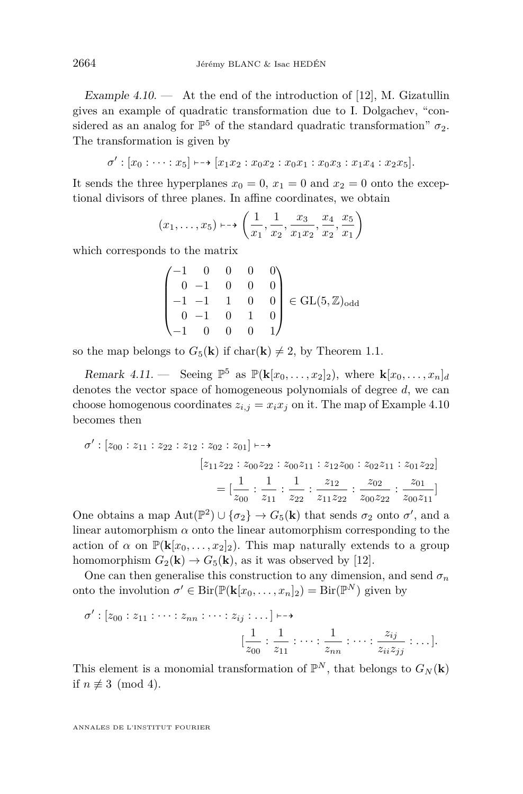Example 4.10.  $\qquad$  At the end of the introduction of [\[12\]](#page-39-0), M. Gizatullin gives an example of quadratic transformation due to I. Dolgachev, "considered as an analog for  $\mathbb{P}^5$  of the standard quadratic transformation"  $\sigma_2$ . The transformation is given by

$$
\sigma': [x_0 : \cdots : x_5] \mapsto [x_1x_2 : x_0x_2 : x_0x_1 : x_0x_3 : x_1x_4 : x_2x_5].
$$

It sends the three hyperplanes  $x_0 = 0$ ,  $x_1 = 0$  and  $x_2 = 0$  onto the exceptional divisors of three planes. In affine coordinates, we obtain

$$
(x_1, \ldots, x_5) \mapsto \left(\frac{1}{x_1}, \frac{1}{x_2}, \frac{x_3}{x_1x_2}, \frac{x_4}{x_2}, \frac{x_5}{x_1}\right)
$$

which corresponds to the matrix

$$
\begin{pmatrix}\n-1 & 0 & 0 & 0 & 0 \\
0 & -1 & 0 & 0 & 0 \\
-1 & -1 & 1 & 0 & 0 \\
0 & -1 & 0 & 1 & 0 \\
-1 & 0 & 0 & 0 & 1\n\end{pmatrix} \in GL(5, \mathbb{Z})_{odd}
$$

so the map belongs to  $G_5(\mathbf{k})$  if char( $\mathbf{k}$ )  $\neq$  2, by Theorem [1.1.](#page-3-0)

Remark 4.11. — Seeing  $\mathbb{P}^5$  as  $\mathbb{P}({\bf k}[x_0,\ldots,x_2]_2)$ , where  ${\bf k}[x_0,\ldots,x_n]_d$ denotes the vector space of homogeneous polynomials of degree *d*, we can choose homogenous coordinates  $z_{i,j} = x_i x_j$  on it. The map of Example 4.10 becomes then

$$
\sigma': [z_{00}: z_{11} : z_{22} : z_{12} : z_{02} : z_{01}] \longmapsto
$$
  

$$
[z_{11}z_{22} : z_{00}z_{22} : z_{00}z_{11} : z_{12}z_{00} : z_{02}z_{11} : z_{01}z_{22}]
$$
  

$$
= [\frac{1}{z_{00}} : \frac{1}{z_{11}} : \frac{1}{z_{22}} : \frac{z_{12}}{z_{11}z_{22}} : \frac{z_{02}}{z_{00}z_{22}} : \frac{z_{01}}{z_{00}z_{11}}]
$$

One obtains a map  $Aut(\mathbb{P}^2) \cup {\sigma_2} \rightarrow G_5(\mathbf{k})$  that sends  $\sigma_2$  onto  $\sigma'$ , and a linear automorphism  $\alpha$  onto the linear automorphism corresponding to the action of  $\alpha$  on  $\mathbb{P}(\mathbf{k}[x_0,\ldots,x_2]_2)$ . This map naturally extends to a group homomorphism  $G_2(\mathbf{k}) \to G_5(\mathbf{k})$ , as it was observed by [\[12\]](#page-39-0).

One can then generalise this construction to any dimension, and send  $\sigma_n$ onto the involution  $\sigma' \in \text{Bir}(\mathbb{P}(\mathbf{k}[x_0,\ldots,x_n]_2) = \text{Bir}(\mathbb{P}^N)$  given by

$$
\sigma': [z_{00}:z_{11}:\cdots:z_{nn}:\cdots:z_{ij}:\cdots]\longmapsto
$$

$$
[\frac{1}{z_{00}}:\frac{1}{z_{11}}:\cdots:\frac{1}{z_{nn}}:\cdots:\frac{z_{ij}}{z_{ii}z_{jj}}:\cdots].
$$

This element is a monomial transformation of  $\mathbb{P}^N$ , that belongs to  $G_N(\mathbf{k})$ if  $n \not\equiv 3 \pmod{4}$ .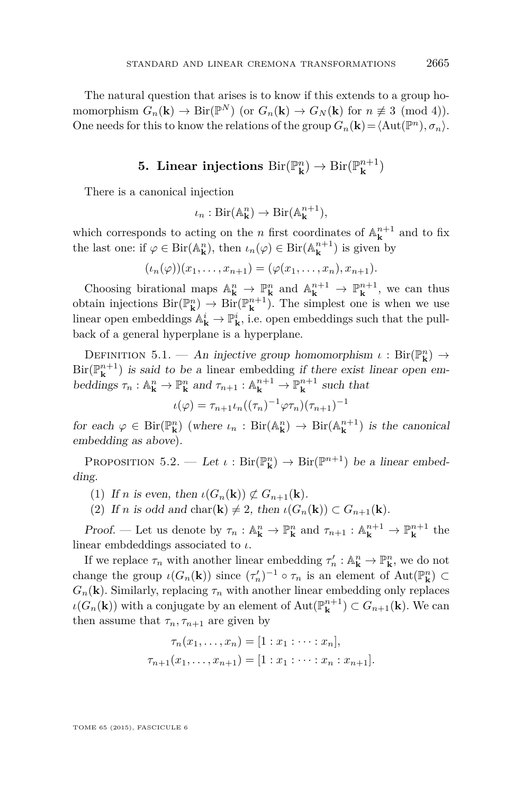<span id="page-25-0"></span>The natural question that arises is to know if this extends to a group homomorphism  $G_n(\mathbf{k}) \to \text{Bir}(\mathbb{P}^N)$  (or  $G_n(\mathbf{k}) \to G_N(\mathbf{k})$  for  $n \not\equiv 3 \pmod{4}$ ). One needs for this to know the relations of the group  $G_n(\mathbf{k}) = \langle \text{Aut}(\mathbb{P}^n), \sigma_n \rangle$ .

#### $\mathbf{5.}$  Linear injections  $\mathrm{Bir}(\mathbb{P}^n_{\mathbf{k}}) \to \mathrm{Bir}(\mathbb{P}^{n+1}_{\mathbf{k}})$  $\binom{n+1}{\mathbf{k}}$

There is a canonical injection

$$
\iota_n: \mathrm{Bir}(\mathbb{A}_{\mathbf{k}}^n) \to \mathrm{Bir}(\mathbb{A}_{\mathbf{k}}^{n+1}),
$$

which corresponds to acting on the *n* first coordinates of  $\mathbb{A}_{\mathbf{k}}^{n+1}$  and to fix the last one: if  $\varphi \in \text{Bir}(\mathbb{A}_{\mathbf{k}}^n)$ , then  $\iota_n(\varphi) \in \text{Bir}(\mathbb{A}_{\mathbf{k}}^{n+1})$  is given by

$$
(\iota_n(\varphi))(x_1,\ldots,x_{n+1})=(\varphi(x_1,\ldots,x_n),x_{n+1}).
$$

Choosing birational maps  $\mathbb{A}_{\mathbf{k}}^n \to \mathbb{P}_{\mathbf{k}}^n$  and  $\mathbb{A}_{\mathbf{k}}^{n+1} \to \mathbb{P}_{\mathbf{k}}^{n+1}$ , we can thus obtain injections  $\text{Bir}(\mathbb{P}^n_{\mathbf{k}}) \to \text{Bir}(\mathbb{P}^{n+1}_{\mathbf{k}})$ . The simplest one is when we use linear open embeddings  $\mathbb{A}_{\mathbf{k}}^i \to \mathbb{P}_{\mathbf{k}}^i$ , i.e. open embeddings such that the pullback of a general hyperplane is a hyperplane.

DEFINITION 5.1. — An injective group homomorphism *ι* : Bir( $\mathbb{P}^n$ **k**) →  $\text{Bir}(\mathbb{P}_{\mathbf{k}}^{n+1})$  is said to be a linear embedding if there exist linear open embeddings  $\tau_n : \mathbb{A}^n_{\mathbf{k}} \to \mathbb{P}^n_{\mathbf{k}}$  and  $\tau_{n+1} : \mathbb{A}^{n+1}_{\mathbf{k}} \to \mathbb{P}^{n+1}_{\mathbf{k}}$  such that

$$
\iota(\varphi) = \tau_{n+1} \iota_n((\tau_n)^{-1} \varphi \tau_n)(\tau_{n+1})^{-1}
$$

for each  $\varphi \in \text{Bir}(\mathbb{P}^n_{\mathbf{k}})$  (where  $\iota_n : \text{Bir}(\mathbb{A}^n_{\mathbf{k}}) \to \text{Bir}(\mathbb{A}^{n+1}_{\mathbf{k}})$  is the canonical embedding as above).

PROPOSITION 5.2. — Let  $\iota : Bir(\mathbb{P}^n_{\mathbf{k}}) \to Bir(\mathbb{P}^{n+1})$  be a linear embedding.

(1) If *n* is even, then  $\iota(G_n(\mathbf{k})) \not\subset G_{n+1}(\mathbf{k}).$ 

(2) If *n* is odd and char(**k**)  $\neq$  2, then  $\iota(G_n(\mathbf{k})) \subset G_{n+1}(\mathbf{k})$ .

Proof. — Let us denote by  $\tau_n : \mathbb{A}^n_{\mathbf{k}} \to \mathbb{P}^n_{\mathbf{k}}$  and  $\tau_{n+1} : \mathbb{A}^{n+1}_{\mathbf{k}} \to \mathbb{P}^{n+1}_{\mathbf{k}}$  the linear embdeddings associated to *ι*.

If we replace  $\tau_n$  with another linear embedding  $\tau'_n : \mathbb{A}^n_{\mathbf{k}} \to \mathbb{P}^n_{\mathbf{k}}$ , we do not change the group  $\iota(G_n(\mathbf{k}))$  since  $(\tau'_n)^{-1} \circ \tau_n$  is an element of  $\text{Aut}(\mathbb{P}^n_{\mathbf{k}}) \subset$  $G_n(\mathbf{k})$ . Similarly, replacing  $\tau_n$  with another linear embedding only replaces  $\iota(G_n(\mathbf{k}))$  with a conjugate by an element of  $\text{Aut}(\mathbb{P}_{\mathbf{k}}^{n+1}) \subset G_{n+1}(\mathbf{k})$ . We can then assume that  $\tau_n, \tau_{n+1}$  are given by

$$
\tau_n(x_1, \ldots, x_n) = [1 : x_1 : \cdots : x_n],
$$
  

$$
\tau_{n+1}(x_1, \ldots, x_{n+1}) = [1 : x_1 : \cdots : x_n : x_{n+1}].
$$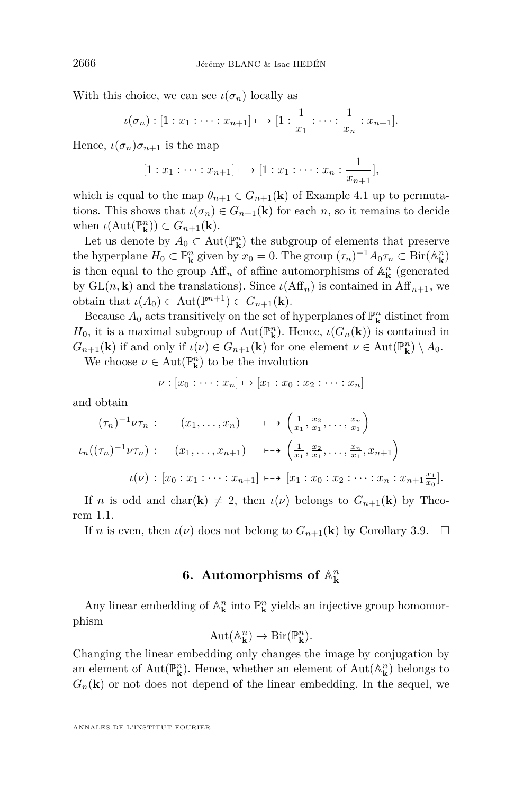With this choice, we can see  $\iota(\sigma_n)$  locally as

$$
\iota(\sigma_n): [1: x_1: \cdots: x_{n+1}] \mapsto [1: \frac{1}{x_1}: \cdots: \frac{1}{x_n}: x_{n+1}].
$$

Hence,  $\iota(\sigma_n)\sigma_{n+1}$  is the map

$$
[1:x_1:\cdots:x_{n+1}]\longmapsto [1:x_1:\cdots:x_n:\frac{1}{x_{n+1}}],
$$

which is equal to the map  $\theta_{n+1} \in G_{n+1}(\mathbf{k})$  of Example [4.1](#page-16-0) up to permutations. This shows that  $\iota(\sigma_n) \in G_{n+1}(\mathbf{k})$  for each *n*, so it remains to decide when  $\iota(\text{Aut}(\mathbb{P}_{\mathbf{k}}^n)) \subset G_{n+1}(\mathbf{k}).$ 

Let us denote by  $A_0 \subset \text{Aut}(\mathbb{P}^n_{\mathbf{k}})$  the subgroup of elements that preserve the hyperplane  $H_0 \subset \mathbb{P}^n_{\mathbf{k}}$  given by  $x_0 = 0$ . The group  $(\tau_n)^{-1} A_0 \tau_n \subset \text{Bir}(\mathbb{A}_{\mathbf{k}}^n)$ is then equal to the group  $\mathrm{Aff}_n$  of affine automorphisms of  $\mathbb{A}^n_{\mathbf{k}}$  (generated by  $GL(n, \mathbf{k})$  and the translations). Since  $\iota(Aff_n)$  is contained in  $Aff_{n+1}$ , we  $\text{obtain that } \iota(A_0) \subset \text{Aut}(\mathbb{P}^{n+1}) \subset G_{n+1}(\mathbf{k}).$ 

Because  $A_0$  acts transitively on the set of hyperplanes of  $\mathbb{P}^n_{\mathbf{k}}$  distinct from *H*<sub>0</sub>, it is a maximal subgroup of Aut $(\mathbb{P}_{\mathbf{k}}^n)$ . Hence, *ι*( $G_n(\mathbf{k})$ ) is contained in *G*<sub>*n*+1</sub>(**k**) if and only if  $\iota(\nu) \in G_{n+1}(\mathbf{k})$  for one element  $\nu \in \text{Aut}(\mathbb{P}_{\mathbf{k}}^n) \setminus A_0$ .

We choose  $\nu \in \text{Aut}(\mathbb{P}^n_{\mathbf{k}})$  to be the involution

$$
\nu : [x_0 : \cdots : x_n] \mapsto [x_1 : x_0 : x_2 : \cdots : x_n]
$$

and obtain

$$
(\tau_n)^{-1} \nu \tau_n: \qquad (x_1, \ldots, x_n) \qquad \longmapsto \left(\frac{1}{x_1}, \frac{x_2}{x_1}, \ldots, \frac{x_n}{x_1}\right)
$$

$$
\iota_n((\tau_n)^{-1} \nu \tau_n): \qquad (x_1, \ldots, x_{n+1}) \qquad \longmapsto \left(\frac{1}{x_1}, \frac{x_2}{x_1}, \ldots, \frac{x_n}{x_1}, x_{n+1}\right)
$$

$$
\iota(\nu): [x_0: x_1: \cdots: x_{n+1}] \longmapsto [x_1: x_0: x_2: \cdots: x_n: x_{n+1} \frac{x_1}{x_0}].
$$

If *n* is odd and char(**k**)  $\neq$  2, then *ι*(*ν*) belongs to  $G_{n+1}(\mathbf{k})$  by Theorem [1.1.](#page-3-0)

If *n* is even, then  $\iota(\nu)$  does not belong to  $G_{n+1}(\mathbf{k})$  by Corollary [3.9.](#page-15-0)  $\Box$ 

# **6.** Automorphisms of  $\mathbb{A}^n_k$

Any linear embedding of  $\mathbb{A}^n_{\bf k}$  into  $\mathbb{P}^n_{\bf k}$  yields an injective group homomorphism

$$
Aut(\mathbb{A}_{\mathbf{k}}^n) \to Bir(\mathbb{P}_{\mathbf{k}}^n).
$$

Changing the linear embedding only changes the image by conjugation by an element of  $Aut(\mathbb{P}^n_{\mathbf{k}})$ . Hence, whether an element of  $Aut(\mathbb{A}^n_{\mathbf{k}})$  belongs to  $G_n(\mathbf{k})$  or not does not depend of the linear embedding. In the sequel, we

<span id="page-26-0"></span>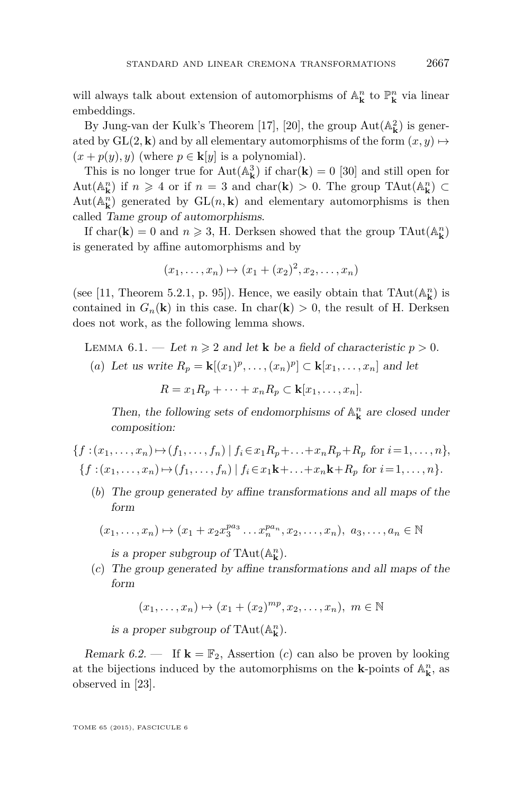will always talk about extension of automorphisms of  $\mathbb{A}^n_{\bf k}$  to  $\mathbb{P}^n_{\bf k}$  via linear embeddings.

By Jung-van der Kulk's Theorem [\[17\]](#page-39-0), [\[20\]](#page-39-0), the group  $Aut(A_{\mathbf{k}}^2)$  is generated by  $GL(2, \mathbf{k})$  and by all elementary automorphisms of the form  $(x, y) \mapsto$  $(x + p(y), y)$  (where  $p \in \mathbf{k}[y]$  is a polynomial).

This is no longer true for  $Aut(A^3_k)$  if  $char(\mathbf{k}) = 0$  [\[30\]](#page-40-0) and still open for Aut $(\mathbb{A}_{\mathbf{k}}^n)$  if  $n \geq 4$  or if  $n = 3$  and char $(\mathbf{k}) > 0$ . The group TAut $(\mathbb{A}_{\mathbf{k}}^n) \subset$  $Aut(A_{\mathbf{k}}^{n})$  generated by  $GL(n, \mathbf{k})$  and elementary automorphisms is then called Tame group of automorphisms.

If  $char(\mathbf{k}) = 0$  and  $n \ge 3$ , H. Derksen showed that the group  $TAut(\mathbb{A}_{\mathbf{k}}^n)$ is generated by affine automorphisms and by

$$
(x_1,...,x_n) \mapsto (x_1 + (x_2)^2, x_2,...,x_n)
$$

(see [\[11,](#page-39-0) Theorem 5.2.1, p. 95]). Hence, we easily obtain that  $\text{TAut}(\mathbb{A}_{\mathbf{k}}^n)$  is contained in  $G_n(\mathbf{k})$  in this case. In char( $\mathbf{k}$ ) > 0, the result of H. Derksen does not work, as the following lemma shows.

LEMMA 6.1. — Let  $n \geq 2$  and let **k** be a field of characteristic  $p > 0$ .

(a) Let us write 
$$
R_p = \mathbf{k}[(x_1)^p, \dots, (x_n)^p] \subset \mathbf{k}[x_1, \dots, x_n]
$$
 and let  

$$
R = x_1 R_p + \dots + x_n R_p \subset \mathbf{k}[x_1, \dots, x_n].
$$

Then, the following sets of endomorphisms of  $\mathbb{A}^n_{\mathbf{k}}$  are closed under composition:

 $\{f:(x_1,\ldots,x_n)\mapsto (f_1,\ldots,f_n)\mid f_i\in x_1R_n+\ldots+x_nR_n+R_n \text{ for } i=1,\ldots,n\},\$  ${f: (x_1, \ldots, x_n) \mapsto (f_1, \ldots, f_n) | f_i \in x_1 \mathbf{k} + \ldots + x_n \mathbf{k} + R_p \text{ for } i = 1, \ldots, n}$ 

(*b*) The group generated by affine transformations and all maps of the form

$$
(x_1,...,x_n) \mapsto (x_1 + x_2 x_3^{pa_3} ... x_n^{pa_n}, x_2,...,x_n), a_3,...,a_n \in \mathbb{N}
$$

is a proper subgroup of  $\text{TAut}(\mathbb{A}_{\mathbf{k}}^n)$ .

(*c*) The group generated by affine transformations and all maps of the form

 $(x_1, \ldots, x_n) \mapsto (x_1 + (x_2)^{mp}, x_2, \ldots, x_n), \ m \in \mathbb{N}$ 

is a proper subgroup of  $\text{TAut}(\mathbb{A}_{\mathbf{k}}^n)$ .

Remark 6.2. — If  $\mathbf{k} = \mathbb{F}_2$ , Assertion (*c*) can also be proven by looking at the bijections induced by the automorphisms on the **k**-points of  $\mathbb{A}^n_{\mathbf{k}}$ , as observed in [\[23\]](#page-39-0).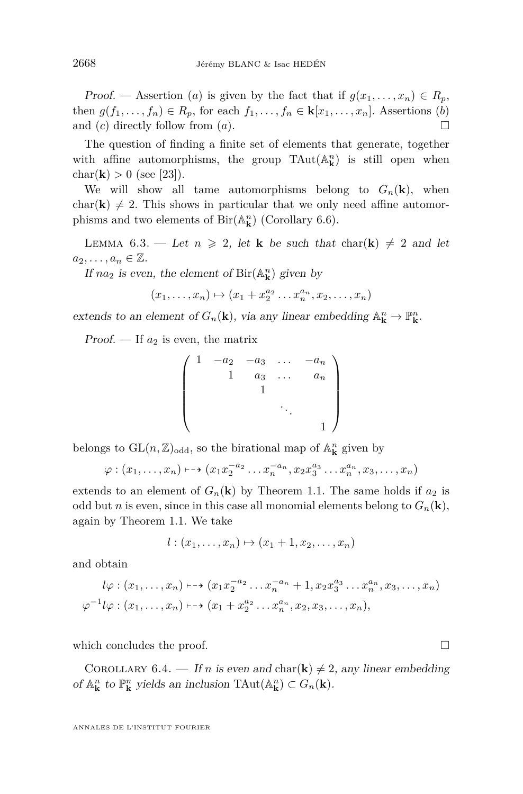<span id="page-28-0"></span>Proof. — Assertion (*a*) is given by the fact that if  $g(x_1, \ldots, x_n) \in R_p$ , then  $g(f_1, \ldots, f_n) \in R_p$ , for each  $f_1, \ldots, f_n \in k[x_1, \ldots, x_n]$ . Assertions (*b*) and  $(c)$  directly follow from  $(a)$ .

The question of finding a finite set of elements that generate, together with affine automorphisms, the group  $\text{TAut}(\mathbb{A}_{\mathbf{k}}^n)$  is still open when char(**k**)  $> 0$  (see [\[23\]](#page-39-0)).

We will show all tame automorphisms belong to  $G_n(\mathbf{k})$ , when char( $\bf{k}) \neq 2$ . This shows in particular that we only need affine automorphisms and two elements of  $\text{Bir}(\mathbb{A}_{\mathbf{k}}^n)$  (Corollary [6.6\)](#page-29-0).

LEMMA 6.3. — Let  $n \geq 2$ , let **k** be such that char(**k**)  $\neq 2$  and let  $a_2, \ldots, a_n \in \mathbb{Z}$ .

If  $na_2$  is even, the element of Bir( $\mathbb{A}^n_k$ ) given by

$$
(x_1,\ldots,x_n)\mapsto (x_1+x_2^{a_2}\ldots x_n^{a_n},x_2,\ldots,x_n)
$$

extends to an element of  $G_n(\mathbf{k})$ , via any linear embedding  $\mathbb{A}_{\mathbf{k}}^n \to \mathbb{P}_{\mathbf{k}}^n$ .

Proof.  $\overline{\phantom{a}}$  If  $a_2$  is even, the matrix

$$
\begin{pmatrix} 1 & -a_2 & -a_3 & \dots & -a_n \\ & 1 & a_3 & \dots & a_n \\ & & 1 & & \\ & & & \ddots & \\ & & & & 1 \end{pmatrix}
$$

belongs to  $GL(n, \mathbb{Z})_{odd}$ , so the birational map of  $\mathbb{A}^n_{\mathbf{k}}$  given by

$$
\varphi : (x_1, \ldots, x_n) \mapsto (x_1 x_2^{-a_2} \ldots x_n^{-a_n}, x_2 x_3^{a_3} \ldots x_n^{a_n}, x_3, \ldots, x_n)
$$

extends to an element of  $G_n(\mathbf{k})$  by Theorem [1.1.](#page-3-0) The same holds if  $a_2$  is odd but *n* is even, since in this case all monomial elements belong to  $G_n(\mathbf{k})$ , again by Theorem [1.1.](#page-3-0) We take

$$
l:(x_1,\ldots,x_n)\mapsto (x_1+1,x_2,\ldots,x_n)
$$

and obtain

$$
l\varphi : (x_1, \ldots, x_n) \mapsto (x_1 x_2^{-a_2} \ldots x_n^{-a_n} + 1, x_2 x_3^{a_3} \ldots x_n^{a_n}, x_3, \ldots, x_n)
$$
  

$$
\varphi^{-1} l\varphi : (x_1, \ldots, x_n) \mapsto (x_1 + x_2^{a_2} \ldots x_n^{a_n}, x_2, x_3, \ldots, x_n),
$$

which concludes the proof.  $\Box$ 

COROLLARY 6.4. — If *n* is even and char( $\bf{k}$ )  $\neq$  2, any linear embedding of  $\mathbb{A}^n_{\mathbf{k}}$  to  $\mathbb{P}^n_{\mathbf{k}}$  yields an inclusion TAut $(\mathbb{A}^n_{\mathbf{k}}) \subset G_n(\mathbf{k})$ .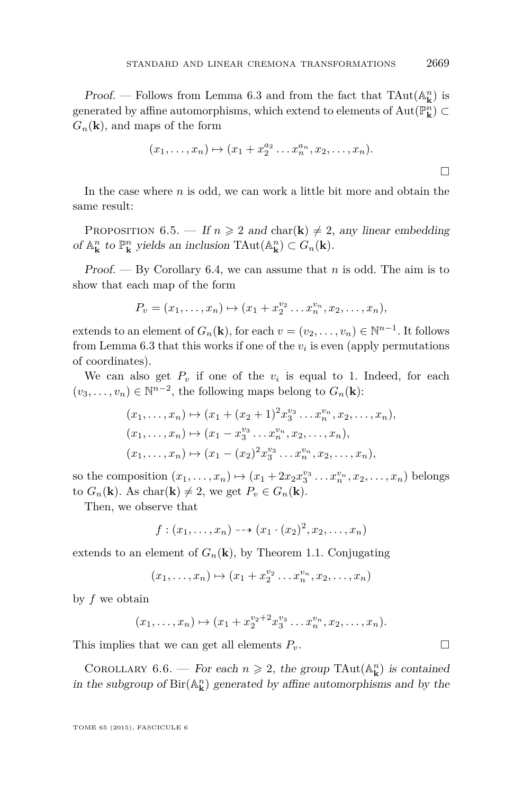<span id="page-29-0"></span>**Proof.** — Follows from Lemma [6.3](#page-28-0) and from the fact that  $\text{TAut}(\mathbb{A}_{\mathbf{k}}^n)$  is generated by affine automorphisms, which extend to elements of  $\mathrm{Aut}(\mathbb{P}^n_{\mathbf{k}}) \subset$  $G_n(\mathbf{k})$ , and maps of the form

$$
(x_1,\ldots,x_n)\mapsto (x_1+x_2^{a_2}\ldots x_n^{a_n},x_2,\ldots,x_n).
$$

In the case where *n* is odd, we can work a little bit more and obtain the same result:

PROPOSITION 6.5. — If  $n \ge 2$  and  $char(\mathbf{k}) \ne 2$ , any linear embedding of  $\mathbb{A}^n_{\mathbf{k}}$  to  $\mathbb{P}^n_{\mathbf{k}}$  yields an inclusion TAut $(\mathbb{A}^n_{\mathbf{k}}) \subset G_n(\mathbf{k})$ .

Proof. — By Corollary [6.4,](#page-28-0) we can assume that *n* is odd. The aim is to show that each map of the form

$$
P_v = (x_1, \ldots, x_n) \mapsto (x_1 + x_2^{v_2} \ldots x_n^{v_n}, x_2, \ldots, x_n),
$$

extends to an element of  $G_n(\mathbf{k})$ , for each  $v = (v_2, \dots, v_n) \in \mathbb{N}^{n-1}$ . It follows from Lemma  $6.3$  that this works if one of the  $v_i$  is even (apply permutations of coordinates).

We can also get  $P_v$  if one of the  $v_i$  is equal to 1. Indeed, for each  $(v_3, \ldots, v_n)$  ∈  $\mathbb{N}^{n-2}$ , the following maps belong to  $G_n(\mathbf{k})$ :

$$
(x_1, \ldots, x_n) \mapsto (x_1 + (x_2 + 1)^2 x_3^{v_3} \ldots x_n^{v_n}, x_2, \ldots, x_n),
$$
  
\n
$$
(x_1, \ldots, x_n) \mapsto (x_1 - x_3^{v_3} \ldots x_n^{v_n}, x_2, \ldots, x_n),
$$
  
\n
$$
(x_1, \ldots, x_n) \mapsto (x_1 - (x_2)^2 x_3^{v_3} \ldots x_n^{v_n}, x_2, \ldots, x_n),
$$

so the composition  $(x_1, ..., x_n) \mapsto (x_1 + 2x_2 x_3^{v_3} ... x_n^{v_n}, x_2, ..., x_n)$  belongs to  $G_n(\mathbf{k})$ . As char $(\mathbf{k}) \neq 2$ , we get  $P_v \in G_n(\mathbf{k})$ .

Then, we observe that

$$
f:(x_1,...,x_n)\dashrightarrow (x_1\cdot(x_2)^2,x_2,...,x_n)
$$

extends to an element of  $G_n(\mathbf{k})$ , by Theorem [1.1.](#page-3-0) Conjugating

$$
(x_1,\ldots,x_n)\mapsto (x_1+x_2^{v_2}\ldots x_n^{v_n},x_2,\ldots,x_n)
$$

by *f* we obtain

$$
(x_1,\ldots,x_n)\mapsto (x_1+x_2^{v_2+2}x_3^{v_3}\ldots x_n^{v_n},x_2,\ldots,x_n).
$$

This implies that we can get all elements  $P_v$ .

COROLLARY 6.6. — For each  $n \ge 2$ , the group TAut( $\mathbb{A}^n_k$ ) is contained in the subgroup of  $\text{Bir}(\mathbb{A}_{\mathbf{k}}^n)$  generated by affine automorphisms and by the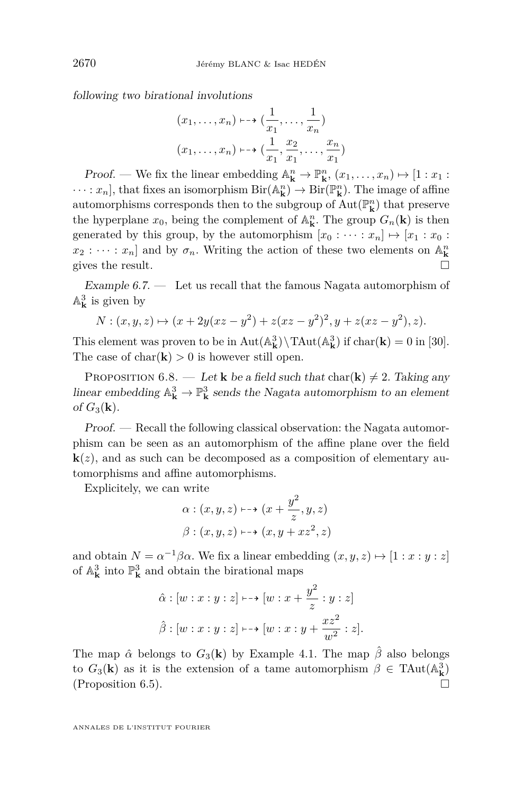following two birational involutions

$$
(x_1, \ldots, x_n) \mapsto (\frac{1}{x_1}, \ldots, \frac{1}{x_n})
$$

$$
(x_1, \ldots, x_n) \mapsto (\frac{1}{x_1}, \frac{x_2}{x_1}, \ldots, \frac{x_n}{x_1})
$$

Proof. — We fix the linear embedding  $\mathbb{A}^n_{\mathbf{k}} \to \mathbb{P}^n_{\mathbf{k}}$ ,  $(x_1, \ldots, x_n) \mapsto [1 : x_1 :$  $\cdots : x_n$ , that fixes an isomorphism  $\text{Bir}(\mathbb{A}_{\mathbf{k}}^n) \to \text{Bir}(\mathbb{P}_{\mathbf{k}}^n)$ . The image of affine automorphisms corresponds then to the subgroup of  $\operatorname{Aut}(\mathbb{P}^n_{\mathbf{k}})$  that preserve the hyperplane  $x_0$ , being the complement of  $\mathbb{A}_{\mathbf{k}}^n$ . The group  $G_n(\mathbf{k})$  is then generated by this group, by the automorphism  $[x_0 : \cdots : x_n] \mapsto [x_1 : x_0 :$  $x_2 : \cdots : x_n$  and by  $\sigma_n$ . Writing the action of these two elements on  $\mathbb{A}^n_{\mathbf{k}}$ gives the result.  $\Box$ 

Example  $6.7.$  — Let us recall that the famous Nagata automorphism of  $\mathbb{A}_{\mathbf{k}}^3$  is given by

$$
N: (x, y, z) \mapsto (x + 2y(xz - y^{2}) + z(xz - y^{2})^{2}, y + z(xz - y^{2}), z).
$$

This element was proven to be in  $Aut(A_{\mathbf{k}}^3) \setminus TAut(A_{\mathbf{k}}^3)$  if  $char(\mathbf{k}) = 0$  in [\[30\]](#page-40-0). The case of  $char(\mathbf{k}) > 0$  is however still open.

PROPOSITION 6.8. — Let **k** be a field such that  $char(\mathbf{k}) \neq 2$ . Taking any linear embedding  $\mathbb{A}_{\mathbf{k}}^3 \to \mathbb{P}_{\mathbf{k}}^3$  sends the Nagata automorphism to an element of  $G_3(\mathbf{k})$ .

Proof. — Recall the following classical observation: the Nagata automorphism can be seen as an automorphism of the affine plane over the field  $\mathbf{k}(z)$ , and as such can be decomposed as a composition of elementary automorphisms and affine automorphisms.

Explicitely, we can write

$$
\alpha: (x, y, z) \mapsto (x + \frac{y^2}{z}, y, z)
$$

$$
\beta: (x, y, z) \mapsto (x, y + xz^2, z)
$$

and obtain  $N = \alpha^{-1}\beta\alpha$ . We fix a linear embedding  $(x, y, z) \mapsto [1 : x : y : z]$ of  $\mathbb{A}_{\mathbf{k}}^3$  into  $\mathbb{P}^3_{\mathbf{k}}$  and obtain the birational maps

$$
\hat{\alpha}: [w:x:y:z] \longmapsto [w:x+\frac{y^2}{z}:y:z]
$$

$$
\hat{\beta}: [w:x:y:z] \longmapsto [w:x:y+\frac{xz^2}{w^2}:z].
$$

The map  $\hat{\alpha}$  belongs to  $G_3(\mathbf{k})$  by Example [4.1.](#page-16-0) The map  $\hat{\beta}$  also belongs to  $G_3(\mathbf{k})$  as it is the extension of a tame automorphism  $\beta \in \text{TAut}(\mathbb{A}_{\mathbf{k}}^3)$ (Proposition [6.5\)](#page-29-0).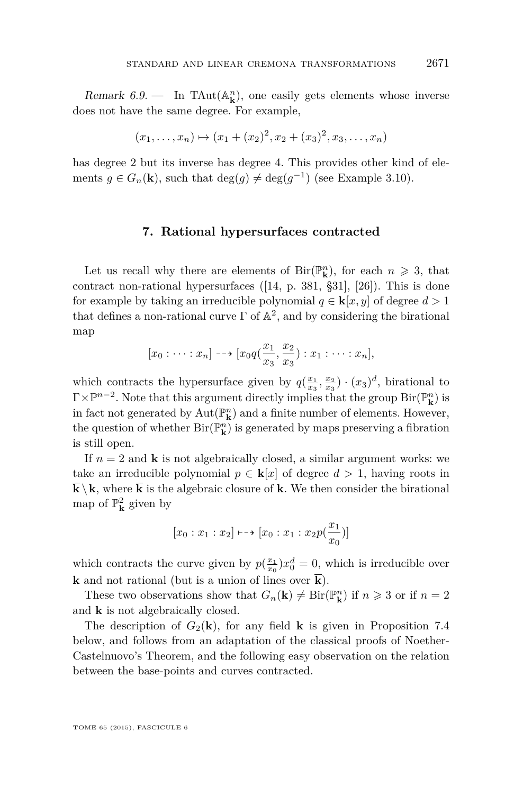<span id="page-31-0"></span>Remark  $6.9$ . — In TAut( $\mathbb{A}^n_k$ ), one easily gets elements whose inverse does not have the same degree. For example,

$$
(x_1, \ldots, x_n) \mapsto (x_1 + (x_2)^2, x_2 + (x_3)^2, x_3, \ldots, x_n)
$$

has degree 2 but its inverse has degree 4. This provides other kind of elements  $g \in G_n(\mathbf{k})$ , such that  $\deg(g) \neq \deg(g^{-1})$  (see Example [3.10\)](#page-15-0).

#### **7. Rational hypersurfaces contracted**

Let us recall why there are elements of  $\text{Bir}(\mathbb{P}_{\mathbf{k}}^n)$ , for each  $n \geq 3$ , that contract non-rational hypersurfaces  $([14, p. 381, §31], [26])$  $([14, p. 381, §31], [26])$  $([14, p. 381, §31], [26])$  $([14, p. 381, §31], [26])$  $([14, p. 381, §31], [26])$ . This is done for example by taking an irreducible polynomial  $q \in \mathbf{k}[x, y]$  of degree  $d > 1$ that defines a non-rational curve  $\Gamma$  of  $\mathbb{A}^2$ , and by considering the birational map

$$
[x_0:\cdots:x_n]\dashrightarrow [x_0q(\frac{x_1}{x_3},\frac{x_2}{x_3}):x_1:\cdots:x_n],
$$

which contracts the hypersurface given by  $q(\frac{x_1}{x_3}, \frac{x_2}{x_3}) \cdot (x_3)^d$ , birational to  $\Gamma \times \mathbb{P}^{n-2}$ . Note that this argument directly implies that the group  $\text{Bir}(\mathbb{P}^n_{\mathbf{k}})$  is in fact not generated by  $\mathrm{Aut}(\mathbb{P}^n_{\mathbf{k}})$  and a finite number of elements. However, the question of whether  ${\rm Bir}({\mathbb P}^n_{\bf k})$  is generated by maps preserving a fibration is still open.

If  $n = 2$  and **k** is not algebraically closed, a similar argument works: we take an irreducible polynomial  $p \in \mathbf{k}[x]$  of degree  $d > 1$ , having roots in  $\overline{k}\setminus k$ , where  $\overline{k}$  is the algebraic closure of **k**. We then consider the birational map of  $\mathbb{P}^2_{\bf k}$  given by

$$
[x_0:x_1:x_2]\longmapsto [x_0:x_1:x_2p(\frac{x_1}{x_0})]
$$

which contracts the curve given by  $p(\frac{x_1}{x_0})x_0^d = 0$ , which is irreducible over **k** and not rational (but is a union of lines over  $\overline{\mathbf{k}}$ ).

These two observations show that  $G_n(\mathbf{k}) \neq \text{Bir}(\mathbb{P}^n_{\mathbf{k}})$  if  $n \geq 3$  or if  $n = 2$ and **k** is not algebraically closed.

The description of  $G_2(\mathbf{k})$ , for any field **k** is given in Proposition [7.4](#page-34-0) below, and follows from an adaptation of the classical proofs of Noether-Castelnuovo's Theorem, and the following easy observation on the relation between the base-points and curves contracted.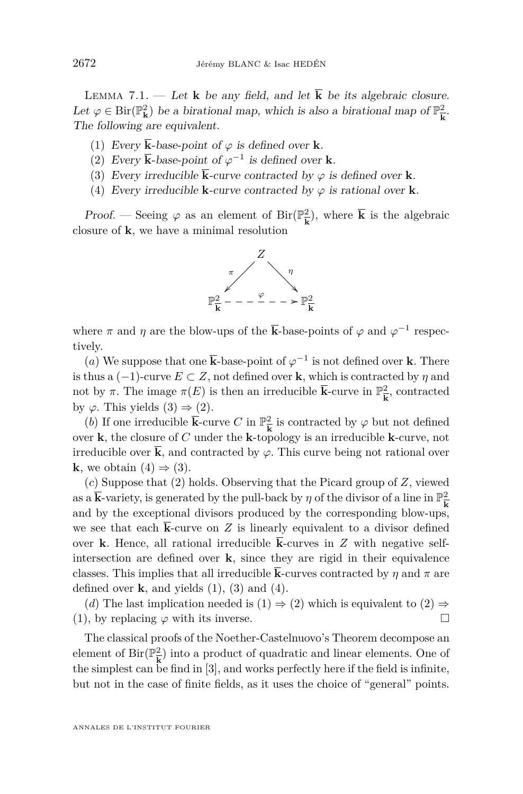<span id="page-32-0"></span>LEMMA 7.1. — Let **k** be any field, and let  $\overline{k}$  be its algebraic closure. Let  $\varphi \in \text{Bir}(\mathbb{P}^2_{\mathbf{k}})$  be a birational map, which is also a birational map of  $\mathbb{P}^2_{\mathbf{k}}$  $\frac{2}{\mathbf{k}}$ . The following are equivalent.

- (1) Every  $\overline{\mathbf{k}}$ -base-point of  $\varphi$  is defined over **k**.
- (2) Every  $\overline{k}$ -base-point of  $\varphi^{-1}$  is defined over **k**.
- (3) Every irreducible  $\overline{\mathbf{k}}$ -curve contracted by  $\varphi$  is defined over **k**.
- (4) Every irreducible **k**-curve contracted by  $\varphi$  is rational over **k**.

Proof. — Seeing  $\varphi$  as an element of Bir( $\mathbb{P}^2_{\overline{k}}$  $\frac{2}{k}$ , where **k** is the algebraic closure of **k**, we have a minimal resolution



where  $\pi$  and  $\eta$  are the blow-ups of the  $\overline{k}$ -base-points of  $\varphi$  and  $\varphi^{-1}$  respectively.

(*a*) We suppose that one  $\overline{\mathbf{k}}$ -base-point of  $\varphi^{-1}$  is not defined over **k**. There is thus a  $(-1)$ -curve  $E \subset Z$ , not defined over **k**, which is contracted by  $\eta$  and not by  $\pi$ . The image  $\pi(E)$  is then an irreducible  $\bar{k}$ -curve in  $\mathbb{P}^2$  $\frac{2}{k}$ , contracted by  $\varphi$ . This yields  $(3) \Rightarrow (2)$ .

(*b*) If one irreducible  $\overline{\mathbf{k}}$ -curve *C* in  $\mathbb{P}^2$  $\frac{2}{k}$  is contracted by  $\varphi$  but not defined over **k**, the closure of *C* under the **k**-topology is an irreducible **k**-curve, not irreducible over  $\bar{\mathbf{k}}$ , and contracted by  $\varphi$ . This curve being not rational over **k**, we obtain  $(4) \Rightarrow (3)$ .

(*c*) Suppose that (2) holds. Observing that the Picard group of *Z*, viewed as a  $\bar{k}$ -variety, is generated by the pull-back by  $\eta$  of the divisor of a line in  $\mathbb{P}^2_{\bar{k}}$ **k** and by the exceptional divisors produced by the corresponding blow-ups, we see that each  $\overline{k}$ -curve on  $Z$  is linearly equivalent to a divisor defined over **k**. Hence, all rational irreducible  $\overline{\mathbf{k}}$ -curves in *Z* with negative selfintersection are defined over **k**, since they are rigid in their equivalence classes. This implies that all irreducible  $\overline{k}$ -curves contracted by  $\eta$  and  $\pi$  are defined over  $\bf{k}$ , and yields  $(1)$ ,  $(3)$  and  $(4)$ .

(*d*) The last implication needed is  $(1) \Rightarrow (2)$  which is equivalent to  $(2) \Rightarrow$ (1), by replacing  $\varphi$  with its inverse.

The classical proofs of the Noether-Castelnuovo's Theorem decompose an element of Bir( $\mathbb{P}^2$  $\frac{2}{\mathbf{k}}$ ) into a product of quadratic and linear elements. One of the simplest can be find in [\[3\]](#page-38-0), and works perfectly here if the field is infinite, but not in the case of finite fields, as it uses the choice of "general" points.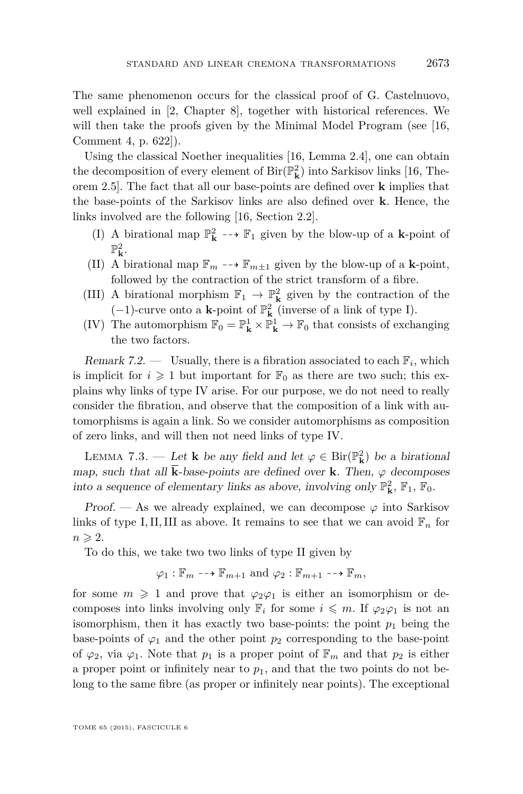<span id="page-33-0"></span>The same phenomenon occurs for the classical proof of G. Castelnuovo, well explained in [\[2,](#page-38-0) Chapter 8], together with historical references. We will then take the proofs given by the Minimal Model Program (see [\[16,](#page-39-0) Comment 4, p. 622]).

Using the classical Noether inequalities [\[16,](#page-39-0) Lemma 2.4], one can obtain the decomposition of every element of  ${\rm Bir}({\mathbb P}^2_{\mathbf k})$  into Sarkisov links [\[16,](#page-39-0) Theorem 2.5]. The fact that all our base-points are defined over **k** implies that the base-points of the Sarkisov links are also defined over **k**. Hence, the links involved are the following [\[16,](#page-39-0) Section 2.2].

- (I) A birational map  $\mathbb{P}^2_{\bf k} \dashrightarrow \mathbb{F}_1$  given by the blow-up of a  ${\bf k}$ -point of  $\mathbb{P}^2_{\mathbf{k}}$ .
- (II) A birational map  $\mathbb{F}_m \dashrightarrow \mathbb{F}_{m \pm 1}$  given by the blow-up of a **k**-point, followed by the contraction of the strict transform of a fibre.
- (III) A birational morphism  $\mathbb{F}_1 \to \mathbb{P}^2_{\mathbf{k}}$  given by the contraction of the (−1)-curve onto a **k**-point of P 2 **k** (inverse of a link of type I).
- (IV) The automorphism  $\mathbb{F}_0 = \mathbb{P}^1_{\mathbf{k}} \times \mathbb{P}^1_{\mathbf{k}} \to \mathbb{F}_0$  that consists of exchanging the two factors.

Remark 7.2. — Usually, there is a fibration associated to each  $\mathbb{F}_i$ , which is implicit for  $i \geq 1$  but important for  $\mathbb{F}_0$  as there are two such; this explains why links of type IV arise. For our purpose, we do not need to really consider the fibration, and observe that the composition of a link with automorphisms is again a link. So we consider automorphisms as composition of zero links, and will then not need links of type IV.

LEMMA 7.3. — Let **k** be any field and let  $\varphi \in Bir(\mathbb{P}_{\mathbf{k}}^2)$  be a birational map, such that all  $\overline{\mathbf{k}}$ -base-points are defined over  $\mathbf{k}$ . Then,  $\varphi$  decomposes into a sequence of elementary links as above, involving only  $\mathbb{P}^2_{\mathbf{k}}$ ,  $\mathbb{F}_1$ ,  $\mathbb{F}_0$ .

Proof. — As we already explained, we can decompose  $\varphi$  into Sarkisov links of type I, II, III as above. It remains to see that we can avoid  $\mathbb{F}_n$  for  $n \geqslant 2$ .

To do this, we take two two links of type II given by

$$
\varphi_1 : \mathbb{F}_m \dashrightarrow \mathbb{F}_{m+1}
$$
 and  $\varphi_2 : \mathbb{F}_{m+1} \dashrightarrow \mathbb{F}_m$ ,

for some  $m \geq 1$  and prove that  $\varphi_2 \varphi_1$  is either an isomorphism or decomposes into links involving only  $\mathbb{F}_i$  for some  $i \leq m$ . If  $\varphi_2 \varphi_1$  is not an isomorphism, then it has exactly two base-points: the point  $p_1$  being the base-points of  $\varphi_1$  and the other point  $p_2$  corresponding to the base-point of  $\varphi_2$ , via  $\varphi_1$ . Note that  $p_1$  is a proper point of  $\mathbb{F}_m$  and that  $p_2$  is either a proper point or infinitely near to  $p_1$ , and that the two points do not belong to the same fibre (as proper or infinitely near points). The exceptional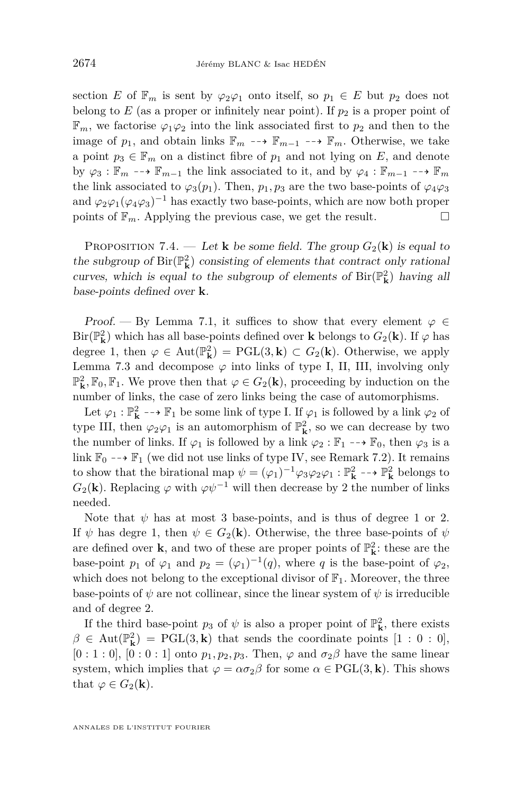<span id="page-34-0"></span>section *E* of  $\mathbb{F}_m$  is sent by  $\varphi_2\varphi_1$  onto itself, so  $p_1 \in E$  but  $p_2$  does not belong to  $E$  (as a proper or infinitely near point). If  $p_2$  is a proper point of  $\mathbb{F}_m$ , we factorise  $\varphi_1\varphi_2$  into the link associated first to  $p_2$  and then to the image of  $p_1$ , and obtain links  $\mathbb{F}_m$  --+  $\mathbb{F}_{m-1}$  --+  $\mathbb{F}_m$ . Otherwise, we take a point  $p_3 \in \mathbb{F}_m$  on a distinct fibre of  $p_1$  and not lying on *E*, and denote by  $\varphi_3 : \mathbb{F}_m \dashrightarrow \mathbb{F}_{m-1}$  the link associated to it, and by  $\varphi_4 : \mathbb{F}_{m-1} \dashrightarrow \mathbb{F}_m$ the link associated to  $\varphi_3(p_1)$ . Then,  $p_1, p_3$  are the two base-points of  $\varphi_4\varphi_3$ and  $\varphi_2\varphi_1(\varphi_4\varphi_3)^{-1}$  has exactly two base-points, which are now both proper points of  $\mathbb{F}_m$ . Applying the previous case, we get the result.

PROPOSITION 7.4. — Let **k** be some field. The group  $G_2(\mathbf{k})$  is equal to the subgroup of  $\text{Bir}(\mathbb{P}_{\mathbf{k}}^2)$  consisting of elements that contract only rational curves, which is equal to the subgroup of elements of  $\text{Bir}(\mathbb{P}_{\mathbf{k}}^2)$  having all base-points defined over **k**.

Proof. — By Lemma [7.1,](#page-32-0) it suffices to show that every element  $\varphi \in$ Bir( $\mathbb{P}^2_{\mathbf{k}}$ ) which has all base-points defined over **k** belongs to  $G_2(\mathbf{k})$ . If  $\varphi$  has degree 1, then  $\varphi \in \text{Aut}(\mathbb{P}_{\mathbf{k}}^2) = \text{PGL}(3,\mathbf{k}) \subset G_2(\mathbf{k})$ . Otherwise, we apply Lemma [7.3](#page-33-0) and decompose  $\varphi$  into links of type I, II, III, involving only  $\mathbb{P}^2_{\mathbf{k}}$ ,  $\mathbb{F}_0$ ,  $\mathbb{F}_1$ . We prove then that  $\varphi \in G_2(\mathbf{k})$ , proceeding by induction on the number of links, the case of zero links being the case of automorphisms.

Let  $\varphi_1 : \mathbb{P}^2_{\mathbf{k}} \dashrightarrow \mathbb{F}_1$  be some link of type I. If  $\varphi_1$  is followed by a link  $\varphi_2$  of type III, then  $\varphi_2 \varphi_1$  is an automorphism of  $\mathbb{P}^2_{\mathbf{k}}$ , so we can decrease by two the number of links. If  $\varphi_1$  is followed by a link  $\varphi_2 : \mathbb{F}_1 \dashrightarrow \mathbb{F}_0$ , then  $\varphi_3$  is a link  $\mathbb{F}_0 \dashrightarrow \mathbb{F}_1$  (we did not use links of type IV, see Remark [7.2\)](#page-33-0). It remains to show that the birational map  $\psi = (\varphi_1)^{-1} \varphi_3 \varphi_2 \varphi_1 : \mathbb{P}^2_{\mathbf{k}} \dashrightarrow \mathbb{P}^2_{\mathbf{k}}$  belongs to  $G_2(\mathbf{k})$ . Replacing  $\varphi$  with  $\varphi \psi^{-1}$  will then decrease by 2 the number of links needed.

Note that  $\psi$  has at most 3 base-points, and is thus of degree 1 or 2. If  $\psi$  has degre 1, then  $\psi \in G_2(\mathbf{k})$ . Otherwise, the three base-points of  $\psi$ are defined over  $\mathbf{k}$  and two of these are proper points of  $\mathbb{P}^2_{\mathbf{k}}$  : these are the base-point  $p_1$  of  $\varphi_1$  and  $p_2 = (\varphi_1)^{-1}(q)$ , where  $q$  is the base-point of  $\varphi_2$ , which does not belong to the exceptional divisor of  $\mathbb{F}_1$ . Moreover, the three base-points of  $\psi$  are not collinear, since the linear system of  $\psi$  is irreducible and of degree 2.

If the third base-point  $p_3$  of  $\psi$  is also a proper point of  $\mathbb{P}^2_{\mathbf{k}}$ , there exists  $\beta \in \text{Aut}(\mathbb{P}_{\mathbf{k}}^2) = \text{PGL}(3,\mathbf{k})$  that sends the coordinate points  $[1:0:0]$ ,  $[0:1:0], [0:0:1]$  onto  $p_1, p_2, p_3$ . Then,  $\varphi$  and  $\sigma_2\beta$  have the same linear system, which implies that  $\varphi = \alpha \sigma_2 \beta$  for some  $\alpha \in \text{PGL}(3, \mathbf{k})$ . This shows that  $\varphi \in G_2(\mathbf{k})$ .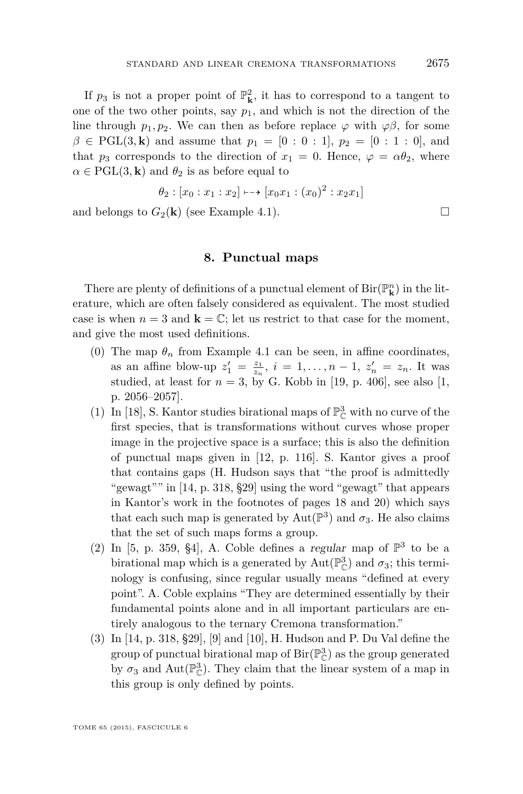<span id="page-35-0"></span>If  $p_3$  is not a proper point of  $\mathbb{P}^2_{\mathbf{k}}$ , it has to correspond to a tangent to one of the two other points, say  $p_1$ , and which is not the direction of the line through  $p_1, p_2$ . We can then as before replace  $\varphi$  with  $\varphi\beta$ , for some  $\beta \in \text{PGL}(3,\mathbf{k})$  and assume that  $p_1 = [0:0:1], p_2 = [0:1:0],$  and that  $p_3$  corresponds to the direction of  $x_1 = 0$ . Hence,  $\varphi = \alpha \theta_2$ , where  $\alpha \in \text{PGL}(3,\mathbf{k})$  and  $\theta_2$  is as before equal to

$$
\theta_2 : [x_0 : x_1 : x_2] \longmapsto [x_0 x_1 : (x_0)^2 : x_2 x_1]
$$

and belongs to  $G_2(\mathbf{k})$  (see Example [4.1\)](#page-16-0).

#### **8. Punctual maps**

There are plenty of definitions of a punctual element of  ${\rm Bir}({\mathbb P}^n_{\bf k})$  in the literature, which are often falsely considered as equivalent. The most studied case is when  $n = 3$  and  $\mathbf{k} = \mathbb{C}$ ; let us restrict to that case for the moment, and give the most used definitions.

- (0) The map  $\theta_n$  from Example [4.1](#page-16-0) can be seen, in affine coordinates, as an affine blow-up  $z_1' = \frac{z_1}{z_n}$ ,  $i = 1, ..., n - 1$ ,  $z_n' = z_n$ . It was studied, at least for  $n = 3$ , by G. Kobb in [\[19,](#page-39-0) p. 406], see also [\[1,](#page-38-0) p. 2056–2057].
- (1) In [\[18\]](#page-39-0), S. Kantor studies birational maps of  $\mathbb{P}^3_{\mathbb{C}}$  with no curve of the first species, that is transformations without curves whose proper image in the projective space is a surface; this is also the definition of punctual maps given in [\[12,](#page-39-0) p. 116]. S. Kantor gives a proof that contains gaps (H. Hudson says that "the proof is admittedly "gewagt"" in [\[14,](#page-39-0) p. 318, §29] using the word "gewagt" that appears in Kantor's work in the footnotes of pages 18 and 20) which says that each such map is generated by  $\text{Aut}(\mathbb{P}^3)$  and  $\sigma_3$ . He also claims that the set of such maps forms a group.
- (2) In [\[5,](#page-38-0) p. 359, §4], A. Coble defines a regular map of  $\mathbb{P}^3$  to be a birational map which is a generated by  $\text{Aut}(\mathbb{P}_{\mathbb{C}}^3)$  and  $\sigma_3$ ; this terminology is confusing, since regular usually means "defined at every point". A. Coble explains "They are determined essentially by their fundamental points alone and in all important particulars are entirely analogous to the ternary Cremona transformation."
- (3) In [\[14,](#page-39-0) p. 318, §29], [\[9\]](#page-39-0) and [\[10\]](#page-39-0), H. Hudson and P. Du Val define the group of punctual birational map of  $\operatorname{Bir}(\mathbb{P}_{\mathbb{C}}^3)$  as the group generated by  $\sigma_3$  and Aut $(\mathbb{P}^3_{\mathbb{C}})$ . They claim that the linear system of a map in this group is only defined by points.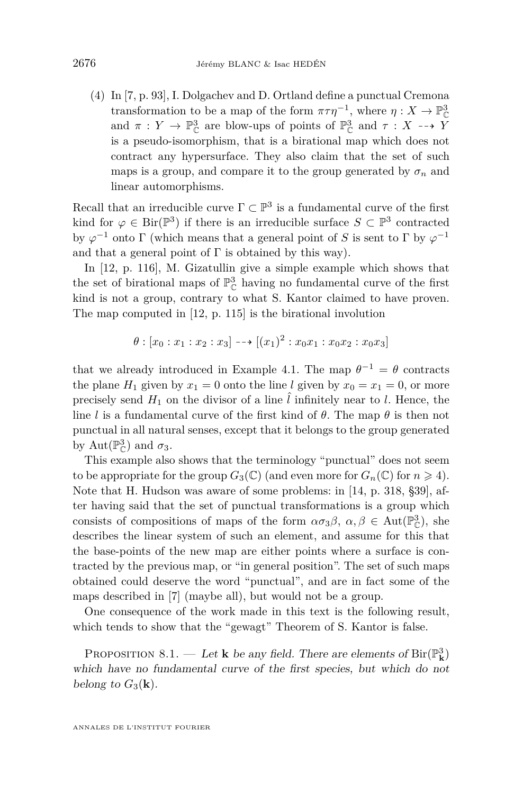(4) In [\[7,](#page-39-0) p. 93], I. Dolgachev and D. Ortland define a punctual Cremona transformation to be a map of the form  $\pi \tau \eta^{-1}$ , where  $\eta: X \to \mathbb{P}_{\mathbb{C}}^3$ and  $\pi : Y \to \mathbb{P}^3_{\mathbb{C}}$  are blow-ups of points of  $\mathbb{P}^3_{\mathbb{C}}$  and  $\tau : X \dashrightarrow Y$ is a pseudo-isomorphism, that is a birational map which does not contract any hypersurface. They also claim that the set of such maps is a group, and compare it to the group generated by  $\sigma_n$  and linear automorphisms.

Recall that an irreducible curve  $\Gamma \subset \mathbb{P}^3$  is a fundamental curve of the first kind for  $\varphi \in \text{Bir}(\mathbb{P}^3)$  if there is an irreducible surface  $S \subset \mathbb{P}^3$  contracted by  $\varphi^{-1}$  onto  $\Gamma$  (which means that a general point of *S* is sent to  $\Gamma$  by  $\varphi^{-1}$ and that a general point of  $\Gamma$  is obtained by this way).

In [\[12,](#page-39-0) p. 116], M. Gizatullin give a simple example which shows that the set of birational maps of  $\mathbb{P}^3_{\mathbb{C}}$  having no fundamental curve of the first kind is not a group, contrary to what S. Kantor claimed to have proven. The map computed in [\[12,](#page-39-0) p. 115] is the birational involution

$$
\theta : [x_0 : x_1 : x_2 : x_3] \longrightarrow [(x_1)^2 : x_0 x_1 : x_0 x_2 : x_0 x_3]
$$

that we already introduced in Example [4.1.](#page-16-0) The map  $\theta^{-1} = \theta$  contracts the plane  $H_1$  given by  $x_1 = 0$  onto the line *l* given by  $x_0 = x_1 = 0$ , or more precisely send  $H_1$  on the divisor of a line  $\hat{l}$  infinitely near to  $l$ . Hence, the line *l* is a fundamental curve of the first kind of  $\theta$ . The map  $\theta$  is then not punctual in all natural senses, except that it belongs to the group generated by Aut $(\mathbb{P}_{\mathbb{C}}^3)$  and  $\sigma_3$ .

This example also shows that the terminology "punctual" does not seem to be appropriate for the group  $G_3(\mathbb{C})$  (and even more for  $G_n(\mathbb{C})$  for  $n \geq 4$ ). Note that H. Hudson was aware of some problems: in [\[14,](#page-39-0) p. 318, §39], after having said that the set of punctual transformations is a group which consists of compositions of maps of the form  $\alpha \sigma_3 \beta$ ,  $\alpha, \beta \in Aut(\mathbb{P}^3_{\mathbb{C}})$ , she describes the linear system of such an element, and assume for this that the base-points of the new map are either points where a surface is contracted by the previous map, or "in general position". The set of such maps obtained could deserve the word "punctual", and are in fact some of the maps described in [\[7\]](#page-39-0) (maybe all), but would not be a group.

One consequence of the work made in this text is the following result, which tends to show that the "gewagt" Theorem of S. Kantor is false.

PROPOSITION 8.1. — Let **k** be any field. There are elements of  $\text{Bir}(\mathbb{P}_{\mathbf{k}}^3)$ which have no fundamental curve of the first species, but which do not belong to  $G_3(\mathbf{k})$ .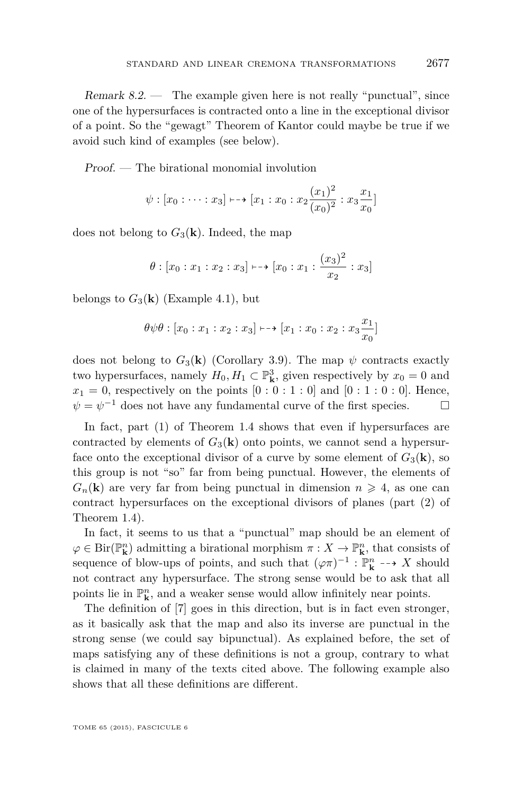Remark  $8.2$  — The example given here is not really "punctual", since one of the hypersurfaces is contracted onto a line in the exceptional divisor of a point. So the "gewagt" Theorem of Kantor could maybe be true if we avoid such kind of examples (see below).

Proof. — The birational monomial involution

$$
\psi : [x_0 : \cdots : x_3] \mapsto [x_1 : x_0 : x_2 \frac{(x_1)^2}{(x_0)^2} : x_3 \frac{x_1}{x_0}]
$$

does not belong to  $G_3(\mathbf{k})$ . Indeed, the map

$$
\theta
$$
 :  $[x_0 : x_1 : x_2 : x_3] \mapsto [x_0 : x_1 : \frac{(x_3)^2}{x_2} : x_3]$ 

belongs to  $G_3(\mathbf{k})$  (Example [4.1\)](#page-16-0), but

$$
\theta \psi \theta : [x_0 : x_1 : x_2 : x_3] \mapsto [x_1 : x_0 : x_2 : x_3 \frac{x_1}{x_0}]
$$

does not belong to  $G_3(\mathbf{k})$  (Corollary [3.9\)](#page-15-0). The map  $\psi$  contracts exactly two hypersurfaces, namely  $H_0, H_1 \subset \mathbb{P}^3_{\mathbf{k}}$ , given respectively by  $x_0 = 0$  and  $x_1 = 0$ , respectively on the points  $[0:0:1:0]$  and  $[0:1:0:0]$ . Hence,  $\psi = \psi^{-1}$  does not have any fundamental curve of the first species.  $\Box$ 

In fact, part (1) of Theorem [1.4](#page-4-0) shows that even if hypersurfaces are contracted by elements of  $G_3(\mathbf{k})$  onto points, we cannot send a hypersurface onto the exceptional divisor of a curve by some element of  $G_3(\mathbf{k})$ , so this group is not "so" far from being punctual. However, the elements of  $G_n(\mathbf{k})$  are very far from being punctual in dimension  $n \geq 4$ , as one can contract hypersurfaces on the exceptional divisors of planes (part (2) of Theorem [1.4\)](#page-4-0).

In fact, it seems to us that a "punctual" map should be an element of  $\varphi \in \text{Bir}(\mathbb{P}^n_{\mathbf{k}})$  admitting a birational morphism  $\pi : X \to \mathbb{P}^n_{\mathbf{k}}$ , that consists of sequence of blow-ups of points, and such that  $(\varphi \pi)^{-1} : \mathbb{P}^n_{\mathbf{k}} \dashrightarrow X$  should not contract any hypersurface. The strong sense would be to ask that all points lie in  $\mathbb{P}^n_{\mathbf{k}}$ , and a weaker sense would allow infinitely near points.

The definition of [\[7\]](#page-39-0) goes in this direction, but is in fact even stronger, as it basically ask that the map and also its inverse are punctual in the strong sense (we could say bipunctual). As explained before, the set of maps satisfying any of these definitions is not a group, contrary to what is claimed in many of the texts cited above. The following example also shows that all these definitions are different.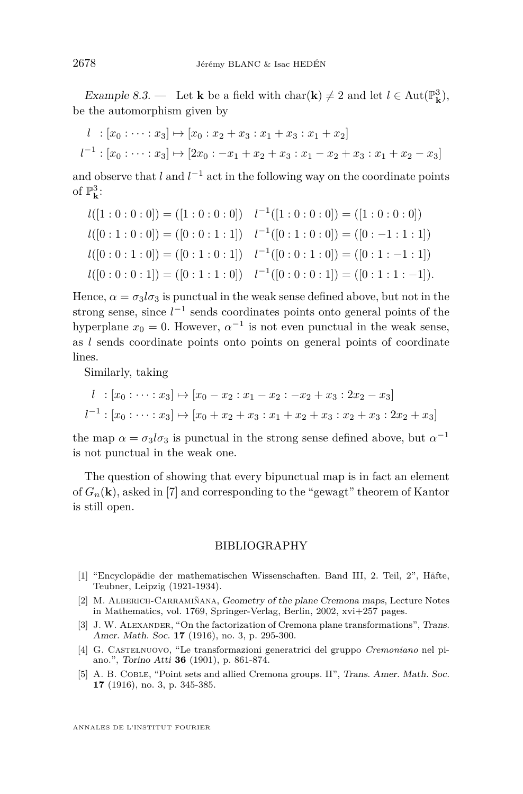<span id="page-38-0"></span>Example 8.3. — Let **k** be a field with char(**k**)  $\neq$  2 and let  $l \in \text{Aut}(\mathbb{P}^3_{\mathbf{k}})$ , be the automorphism given by

$$
l : [x_0 : \cdots : x_3] \mapsto [x_0 : x_2 + x_3 : x_1 + x_3 : x_1 + x_2]
$$
  

$$
l^{-1} : [x_0 : \cdots : x_3] \mapsto [2x_0 : -x_1 + x_2 + x_3 : x_1 - x_2 + x_3 : x_1 + x_2 - x_3]
$$

and observe that  $l$  and  $l^{-1}$  act in the following way on the coordinate points of  $\mathbb{P}^3_{\mathbf{k}}$ :

$$
l([1:0:0:0]) = ([1:0:0:0]) \quad l^{-1}([1:0:0:0]) = ([1:0:0:0])
$$
  
\n
$$
l([0:1:0:0]) = ([0:0:1:1]) \quad l^{-1}([0:1:0:0]) = ([0:-1:1:1])
$$
  
\n
$$
l([0:0:1:0]) = ([0:1:0:1]) \quad l^{-1}([0:0:1:0]) = ([0:1:-1:1])
$$
  
\n
$$
l([0:0:0:1]) = ([0:1:1:0]) \quad l^{-1}([0:0:0:1]) = ([0:1:1:-1]).
$$

Hence,  $\alpha = \sigma_3 l \sigma_3$  is punctual in the weak sense defined above, but not in the strong sense, since  $l^{-1}$  sends coordinates points onto general points of the hyperplane  $x_0 = 0$ . However,  $\alpha^{-1}$  is not even punctual in the weak sense, as *l* sends coordinate points onto points on general points of coordinate lines.

Similarly, taking

$$
l : [x_0 : \cdots : x_3] \mapsto [x_0 - x_2 : x_1 - x_2 : -x_2 + x_3 : 2x_2 - x_3]
$$
  

$$
l^{-1} : [x_0 : \cdots : x_3] \mapsto [x_0 + x_2 + x_3 : x_1 + x_2 + x_3 : x_2 + x_3 : 2x_2 + x_3]
$$

the map  $\alpha = \sigma_3 l \sigma_3$  is punctual in the strong sense defined above, but  $\alpha^{-1}$ is not punctual in the weak one.

The question of showing that every bipunctual map is in fact an element of  $G_n(\mathbf{k})$ , asked in [\[7\]](#page-39-0) and corresponding to the "gewagt" theorem of Kantor is still open.

#### BIBLIOGRAPHY

- [1] "Encyclopädie der mathematischen Wissenschaften. Band III, 2. Teil, 2", Häfte, Teubner, Leipzig (1921-1934).
- [2] M. Alberich-Carramiñana, Geometry of the plane Cremona maps, Lecture Notes in Mathematics, vol. 1769, Springer-Verlag, Berlin, 2002, xvi+257 pages.
- [3] J. W. ALEXANDER, "On the factorization of Cremona plane transformations", Trans. Amer. Math. Soc. **17** (1916), no. 3, p. 295-300.
- [4] G. Castelnuovo, "Le transformazioni generatrici del gruppo *Cremoniano* nel piano.", Torino Atti **36** (1901), p. 861-874.
- [5] A. B. COBLE, "Point sets and allied Cremona groups. II", Trans. Amer. Math. Soc. **17** (1916), no. 3, p. 345-385.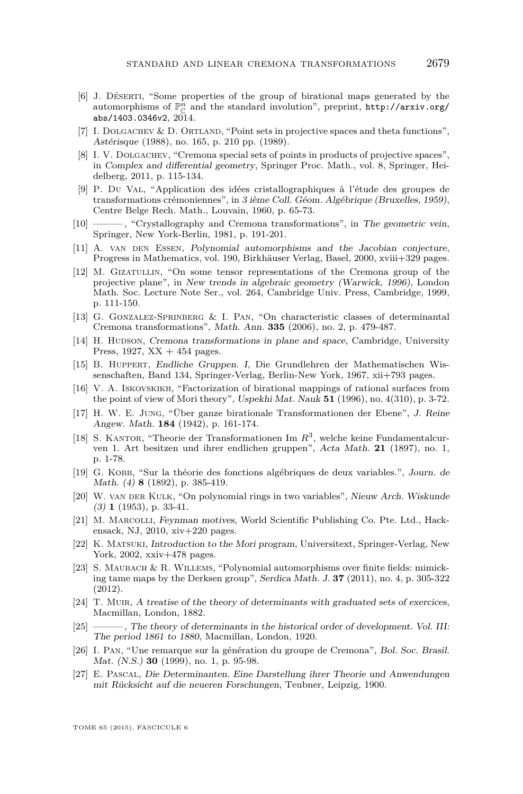- <span id="page-39-0"></span>[6] J. Déserti, "Some properties of the group of birational maps generated by the automorphisms of  $\mathbb{P}^n_{\mathbb{C}}$  and the standard involution", preprint,  ${\tt http://arxiv.org/}$  ${\tt http://arxiv.org/}$  ${\tt http://arxiv.org/}$ [abs/1403.0346v2](http://arxiv.org/abs/1403.0346v2), 2014.
- [7] I. DOLGACHEV & D. ORTLAND, "Point sets in projective spaces and theta functions", Astérisque (1988), no. 165, p. 210 pp. (1989).
- [8] I. V. DOLGACHEV, "Cremona special sets of points in products of projective spaces", in Complex and differential geometry, Springer Proc. Math., vol. 8, Springer, Heidelberg, 2011, p. 115-134.
- [9] P. Du Val, "Application des idées cristallographiques à l'étude des groupes de transformations crémoniennes", in 3 ième Coll. Géom. Algébrique (Bruxelles, 1959), Centre Belge Rech. Math., Louvain, 1960, p. 65-73.
- [10] ——— , "Crystallography and Cremona transformations", in The geometric vein, Springer, New York-Berlin, 1981, p. 191-201.
- [11] A. van DEN ESSEN, Polynomial automorphisms and the Jacobian conjecture, Progress in Mathematics, vol. 190, Birkhäuser Verlag, Basel, 2000, xviii+329 pages.
- [12] M. Gizatullin, "On some tensor representations of the Cremona group of the projective plane", in New trends in algebraic geometry (Warwick, 1996), London Math. Soc. Lecture Note Ser., vol. 264, Cambridge Univ. Press, Cambridge, 1999, p. 111-150.
- [13] G. Gonzalez-Sprinberg & I. Pan, "On characteristic classes of determinantal Cremona transformations", Math. Ann. **335** (2006), no. 2, p. 479-487.
- [14] H. HUDSON, Cremona transformations in plane and space, Cambridge, University Press,  $1927$ ,  $XX + 454$  pages.
- [15] B. Huppert, Endliche Gruppen. I, Die Grundlehren der Mathematischen Wissenschaften, Band 134, Springer-Verlag, Berlin-New York, 1967, xii+793 pages.
- [16] V. A. Iskovskikh, "Factorization of birational mappings of rational surfaces from the point of view of Mori theory", Uspekhi Mat. Nauk **51** (1996), no. 4(310), p. 3-72.
- [17] H. W. E. Jung, "Über ganze birationale Transformationen der Ebene", J. Reine Angew. Math. **184** (1942), p. 161-174.
- [18] S. KANTOR, "Theorie der Transformationen Im  $R^3$ , welche keine Fundamentalcurven 1. Art besitzen und ihrer endlichen gruppen", Acta Math. **21** (1897), no. 1, p. 1-78.
- [19] G. Kobb, "Sur la théorie des fonctions algébriques de deux variables.", Journ. de Math. (4) **8** (1892), p. 385-419.
- [20] W. van der Kulk, "On polynomial rings in two variables", Nieuw Arch. Wiskunde (3) **1** (1953), p. 33-41.
- [21] M. Marcolli, Feynman motives, World Scientific Publishing Co. Pte. Ltd., Hackensack, NJ, 2010, xiv+220 pages.
- [22] K. Matsuki, Introduction to the Mori program, Universitext, Springer-Verlag, New York, 2002, xxiv+478 pages.
- [23] S. Maubach & R. Willems, "Polynomial automorphisms over finite fields: mimicking tame maps by the Derksen group", Serdica Math. J. **37** (2011), no. 4, p. 305-322 (2012).
- [24] T. MUIR, A treatise of the theory of determinants with graduated sets of exercices, Macmillan, London, 1882.
- [25] ——— , The theory of determinants in the historical order of development. Vol. III: The period 1861 to 1880, Macmillan, London, 1920.
- [26] I. Pan, "Une remarque sur la génération du groupe de Cremona", Bol. Soc. Brasil. Mat. (N.S.) **30** (1999), no. 1, p. 95-98.
- [27] E. Pascal, Die Determinanten. Eine Darstellung ihrer Theorie und Anwendungen mit Rücksicht auf die neueren Forschungen, Teubner, Leipzig, 1900.